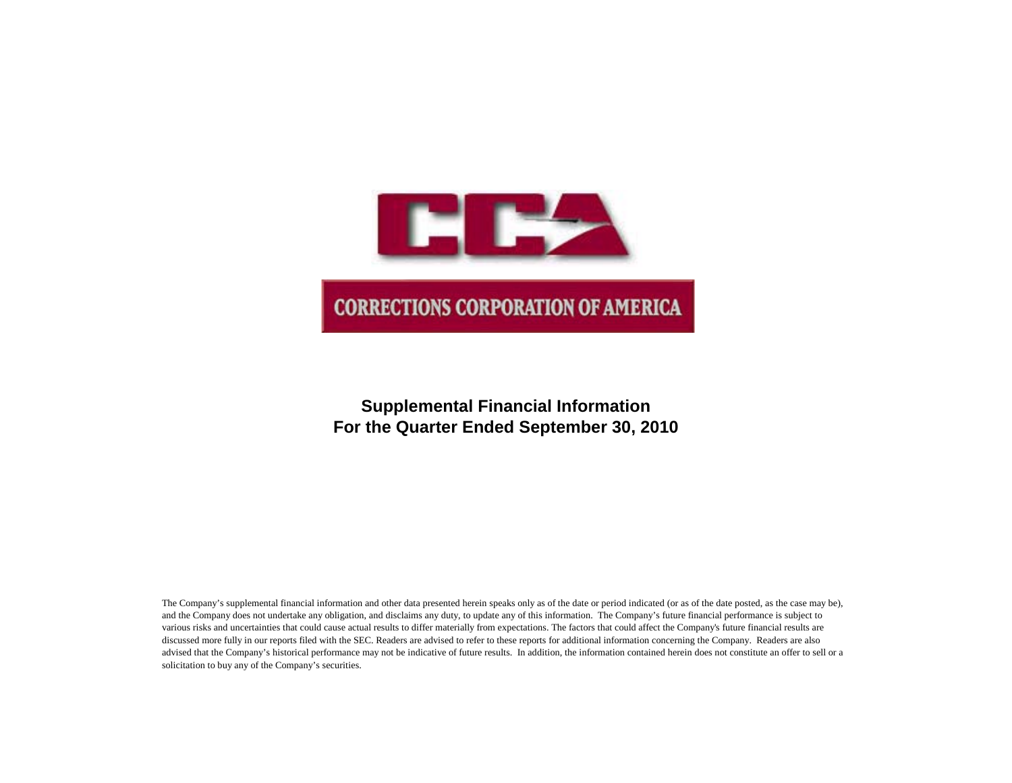

# **Supplemental Financial Information For the Quarter Ended September 30, 2010**

The Company's supplemental financial information and other data presented herein speaks only as of the date or period indicated (or as of the date posted, as the case may be), and the Company does not undertake any obligation, and disclaims any duty, to update any of this information. The Company's future financial performance is subject to various risks and uncertainties that could cause actual results to differ materially from expectations. The factors that could affect the Company's future financial results are discussed more fully in our reports filed with the SEC. Readers are advised to refer to these reports for additional information concerning the Company. Readers are also advised that the Company's historical performance may not be indicative of future results. In addition, the information contained herein does not constitute an offer to sell or a solicitation to buy any of the Company's securities.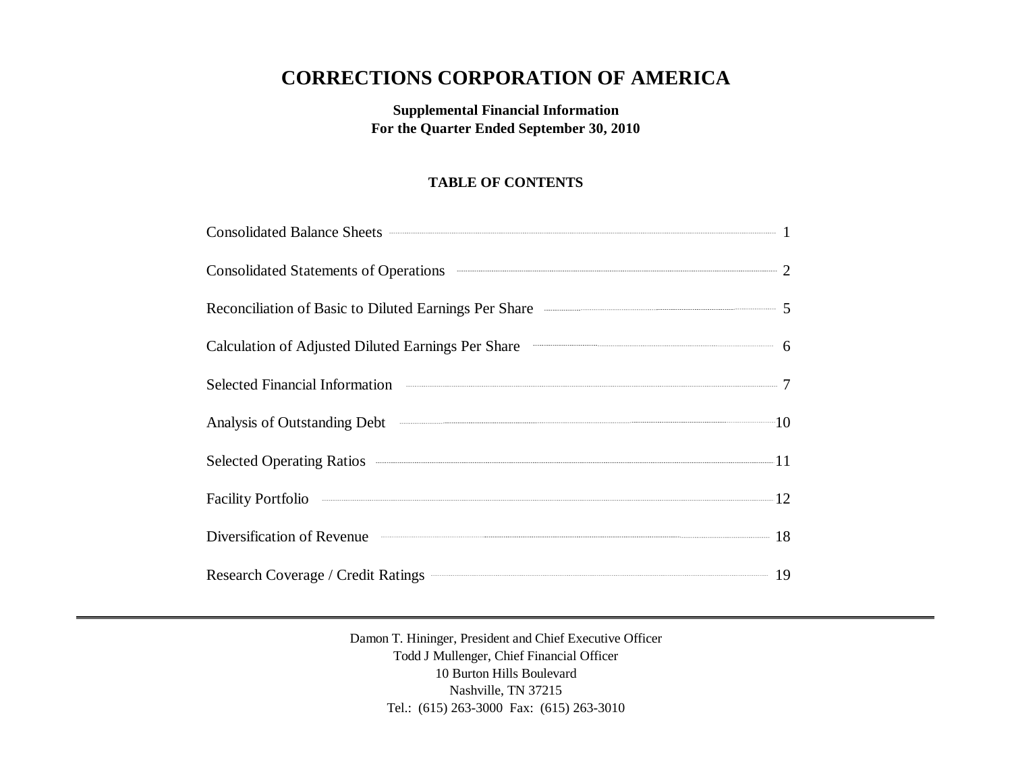# **CORRECTIONS CORPORATION OF AMERICA**

## **Supplemental Financial Information For the Quarter Ended September 30, 2010**

## **TABLE OF CONTENTS**

| Consolidated Balance Sheets <b>Consolidated Balance Sheets</b> 1                                                                                                                                                                     |  |
|--------------------------------------------------------------------------------------------------------------------------------------------------------------------------------------------------------------------------------------|--|
| Consolidated Statements of Operations <b>CONSUMER 2</b>                                                                                                                                                                              |  |
| Reconciliation of Basic to Diluted Earnings Per Share <b>Constanting Strate</b> 5                                                                                                                                                    |  |
| Calculation of Adjusted Diluted Earnings Per Share <b>Calculation</b> 6                                                                                                                                                              |  |
| Selected Financial Information <b>Constanting Constanting Constanting Constanting Constanting Constanting Constanting Constanting Constanting Constanting Constanting Constanting Constanting Constanting Constanting Constantin</b> |  |
| Analysis of Outstanding Debt 10                                                                                                                                                                                                      |  |
| Selected Operating Ratios 211                                                                                                                                                                                                        |  |
| Facility Portfolio 22                                                                                                                                                                                                                |  |
| Diversification of Revenue 18                                                                                                                                                                                                        |  |
| Research Coverage / Credit Ratings 219                                                                                                                                                                                               |  |

Damon T. Hininger, President and Chief Executive Officer Todd J Mullenger, Chief Financial Officer 10 Burton Hills Boulevard Nashville, TN 37215 Tel.: (615) 263-3000 Fax: (615) 263-3010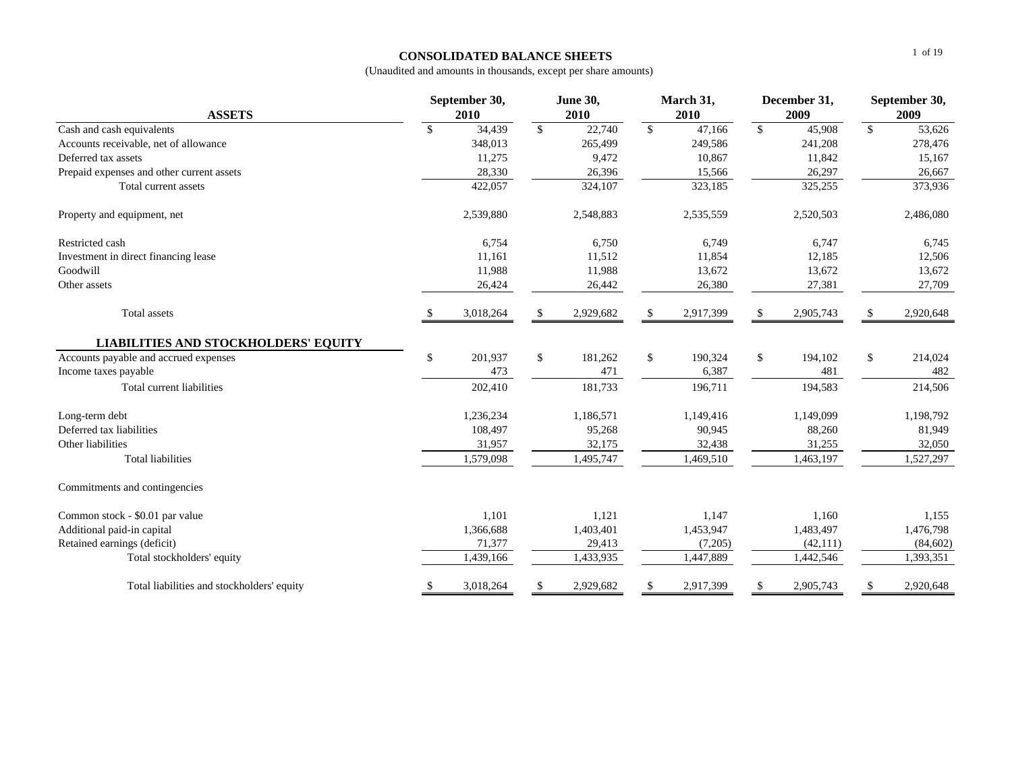#### **CONSOLIDATED BALANCE SHEETS**

| <b>ASSETS</b>                               | March 31,<br>September 30,<br><b>June 30,</b><br>2010<br>2010<br>2010 |           |               |           |               |           | December 31,<br>2009 | September 30,<br>2009 |               |           |
|---------------------------------------------|-----------------------------------------------------------------------|-----------|---------------|-----------|---------------|-----------|----------------------|-----------------------|---------------|-----------|
| Cash and cash equivalents                   | \$                                                                    | 34,439    | $\mathbb{S}$  | 22,740    | $\mathbf{\$}$ | 47,166    | $\mathcal{S}$        | 45,908                | $\mathbb{S}$  | 53,626    |
| Accounts receivable, net of allowance       |                                                                       | 348.013   |               | 265.499   |               | 249,586   |                      | 241,208               |               | 278,476   |
| Deferred tax assets                         |                                                                       | 11,275    |               | 9,472     |               | 10,867    |                      | 11,842                |               | 15,167    |
| Prepaid expenses and other current assets   |                                                                       | 28,330    |               | 26,396    |               | 15,566    |                      | 26,297                |               | 26,667    |
| Total current assets                        |                                                                       | 422,057   |               | 324,107   |               | 323,185   |                      | 325,255               |               | 373,936   |
| Property and equipment, net                 |                                                                       | 2,539,880 |               | 2,548,883 |               | 2,535,559 |                      | 2,520,503             |               | 2,486,080 |
| Restricted cash                             |                                                                       | 6,754     |               | 6,750     |               | 6,749     |                      | 6,747                 |               | 6,745     |
| Investment in direct financing lease        |                                                                       | 11,161    |               | 11,512    |               | 11,854    |                      | 12,185                |               | 12,506    |
| Goodwill                                    |                                                                       | 11,988    |               | 11,988    |               | 13,672    |                      | 13,672                |               | 13,672    |
| Other assets                                | 26,424<br>26,442<br>26,380                                            |           |               |           |               | 27,381    |                      | 27,709                |               |           |
| Total assets                                |                                                                       | 3,018,264 | $\mathbf{\$}$ | 2,929,682 |               | 2,917,399 | \$                   | 2,905,743             | $\mathbf{\$}$ | 2,920,648 |
| <b>LIABILITIES AND STOCKHOLDERS' EQUITY</b> |                                                                       |           |               |           |               |           |                      |                       |               |           |
| Accounts payable and accrued expenses       | \$                                                                    | 201,937   | \$            | 181,262   | \$            | 190,324   | \$                   | 194,102               | \$            | 214,024   |
| Income taxes payable                        |                                                                       | 473       |               | 471       |               | 6,387     |                      | 481                   |               | 482       |
| Total current liabilities                   |                                                                       | 202,410   |               | 181,733   |               | 196,711   |                      | 194,583               |               | 214,506   |
| Long-term debt                              |                                                                       | 1,236,234 |               | 1,186,571 |               | 1,149,416 |                      | 1,149,099             |               | 1,198,792 |
| Deferred tax liabilities                    |                                                                       | 108,497   |               | 95,268    |               | 90,945    |                      | 88,260                |               | 81,949    |
| Other liabilities                           |                                                                       | 31,957    |               | 32,175    |               | 32,438    |                      | 31,255                |               | 32,050    |
| <b>Total liabilities</b>                    |                                                                       | 1,579,098 |               | 1,495,747 |               | 1,469,510 |                      | 1,463,197             |               | 1,527,297 |
| Commitments and contingencies               |                                                                       |           |               |           |               |           |                      |                       |               |           |
| Common stock - \$0.01 par value             |                                                                       | 1,101     |               | 1,121     |               | 1,147     |                      | 1,160                 |               | 1,155     |
| Additional paid-in capital                  |                                                                       | 1,366,688 |               | 1,403,401 |               | 1,453,947 |                      | 1,483,497             |               | 1,476,798 |
| Retained earnings (deficit)                 |                                                                       | 71,377    |               | 29,413    |               | (7,205)   |                      | (42, 111)             |               | (84, 602) |
| Total stockholders' equity                  |                                                                       | 1,439,166 |               | 1,433,935 |               | 1,447,889 |                      | 1,442,546             |               | 1,393,351 |
| Total liabilities and stockholders' equity  | \$                                                                    | 3,018,264 | \$            | 2,929,682 | \$            | 2,917,399 | \$                   | 2,905,743             | \$            | 2,920,648 |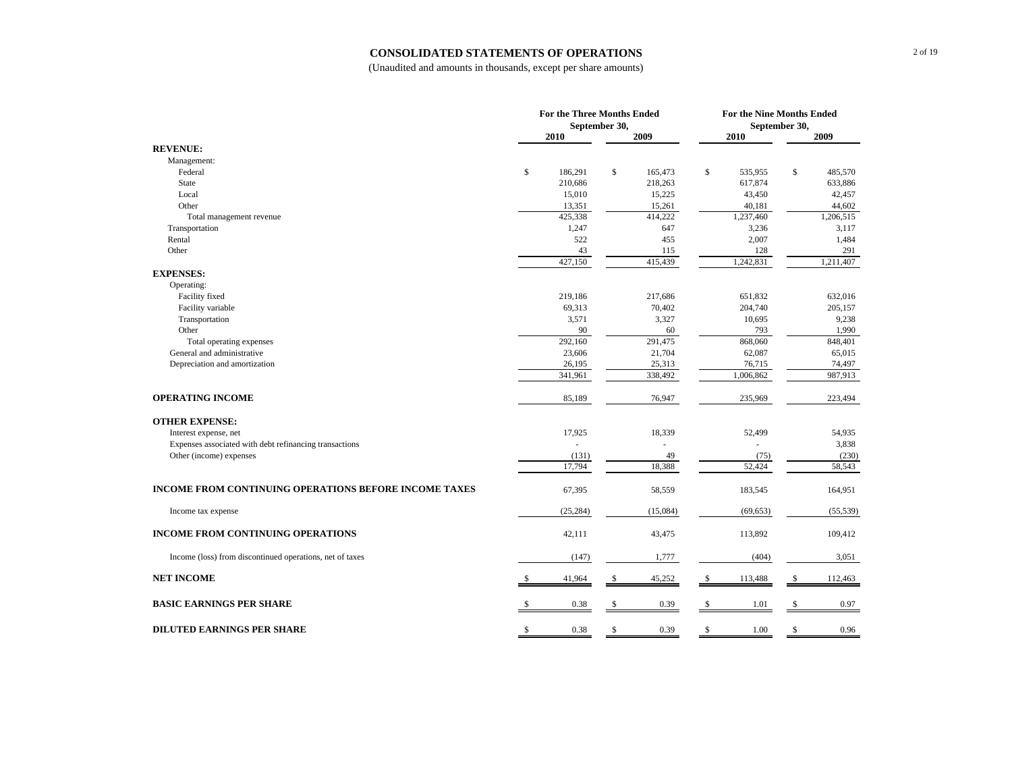#### **CONSOLIDATED STATEMENTS OF OPERATIONS**

|                                                              | For the Three Months Ended |               |    |               |      | <b>For the Nine Months Ended</b> |    |                   |  |  |
|--------------------------------------------------------------|----------------------------|---------------|----|---------------|------|----------------------------------|----|-------------------|--|--|
|                                                              |                            | September 30, |    |               |      |                                  |    |                   |  |  |
|                                                              |                            | 2010          |    | 2009          | 2010 |                                  |    | 2009              |  |  |
| <b>REVENUE:</b>                                              |                            |               |    |               |      |                                  |    |                   |  |  |
| Management:                                                  |                            |               |    |               |      |                                  |    |                   |  |  |
| Federal                                                      | \$                         | 186,291       | \$ | 165,473       | \$   | 535,955                          | \$ | 485,570           |  |  |
| State                                                        |                            | 210,686       |    | 218,263       |      | 617,874                          |    | 633,886           |  |  |
| Local                                                        |                            | 15,010        |    | 15,225        |      | 43,450                           |    | 42,457            |  |  |
| Other                                                        |                            | 13,351        |    | 15,261        |      | 40,181                           |    | 44,602            |  |  |
| Total management revenue                                     |                            | 425,338       |    | 414,222       |      | 1,237,460                        |    | 1,206,515         |  |  |
| Transportation                                               |                            | 1,247         |    | 647           |      | 3,236                            |    | 3,117             |  |  |
| Rental                                                       |                            | 522           |    | 455           |      | 2,007                            |    | 1,484             |  |  |
| Other                                                        |                            | 43            |    | 115           |      | 128                              |    | 291               |  |  |
|                                                              |                            | 427,150       |    | 415,439       |      | 1,242,831                        |    | 1,211,407         |  |  |
| <b>EXPENSES:</b>                                             |                            |               |    |               |      |                                  |    |                   |  |  |
| Operating:                                                   |                            |               |    |               |      |                                  |    |                   |  |  |
| Facility fixed                                               |                            | 219,186       |    | 217,686       |      | 651,832                          |    | 632,016           |  |  |
| Facility variable                                            |                            | 69,313        |    | 70,402        |      | 204,740                          |    | 205,157           |  |  |
| Transportation                                               |                            | 3,571         |    | 3,327         |      | 10,695                           |    | 9,238             |  |  |
| Other                                                        |                            | 90<br>292,160 |    | 60<br>291,475 |      | 793                              |    | 1,990             |  |  |
| Total operating expenses<br>General and administrative       |                            | 23,606        |    | 21,704        |      | 868,060<br>62,087                |    | 848,401<br>65,015 |  |  |
| Depreciation and amortization                                |                            | 26,195        |    | 25,313        |      | 76,715                           |    | 74,497            |  |  |
|                                                              |                            | 341,961       |    | 338,492       |      | 1,006,862                        |    | 987,913           |  |  |
|                                                              |                            |               |    |               |      |                                  |    |                   |  |  |
| <b>OPERATING INCOME</b>                                      |                            | 85,189        |    | 76,947        |      | 235,969                          |    | 223,494           |  |  |
| <b>OTHER EXPENSE:</b>                                        |                            |               |    |               |      |                                  |    |                   |  |  |
| Interest expense, net                                        |                            | 17,925        |    | 18,339        |      | 52,499                           |    | 54,935            |  |  |
| Expenses associated with debt refinancing transactions       |                            |               |    |               |      |                                  |    | 3,838             |  |  |
| Other (income) expenses                                      |                            | (131)         |    | 49            |      | (75)                             |    | (230)             |  |  |
|                                                              |                            | 17,794        |    | 18,388        |      | 52,424                           |    | 58,543            |  |  |
| <b>INCOME FROM CONTINUING OPERATIONS BEFORE INCOME TAXES</b> |                            | 67,395        |    | 58,559        |      | 183,545                          |    | 164,951           |  |  |
| Income tax expense                                           |                            | (25, 284)     |    | (15,084)      |      | (69, 653)                        |    | (55, 539)         |  |  |
| <b>INCOME FROM CONTINUING OPERATIONS</b>                     |                            | 42,111        |    | 43,475        |      | 113,892                          |    | 109,412           |  |  |
| Income (loss) from discontinued operations, net of taxes     |                            | (147)         |    | 1,777         |      | (404)                            |    | 3,051             |  |  |
| <b>NET INCOME</b>                                            | -S                         | 41,964        | S  | 45,252        | -S   | 113,488                          | \$ | 112,463           |  |  |
| <b>BASIC EARNINGS PER SHARE</b>                              |                            | 0.38          | S  | 0.39          | \$   | 1.01                             | \$ | 0.97              |  |  |
| <b>DILUTED EARNINGS PER SHARE</b>                            | -S                         | 0.38          | S  | 0.39          | -S   | 1.00                             | S  | 0.96              |  |  |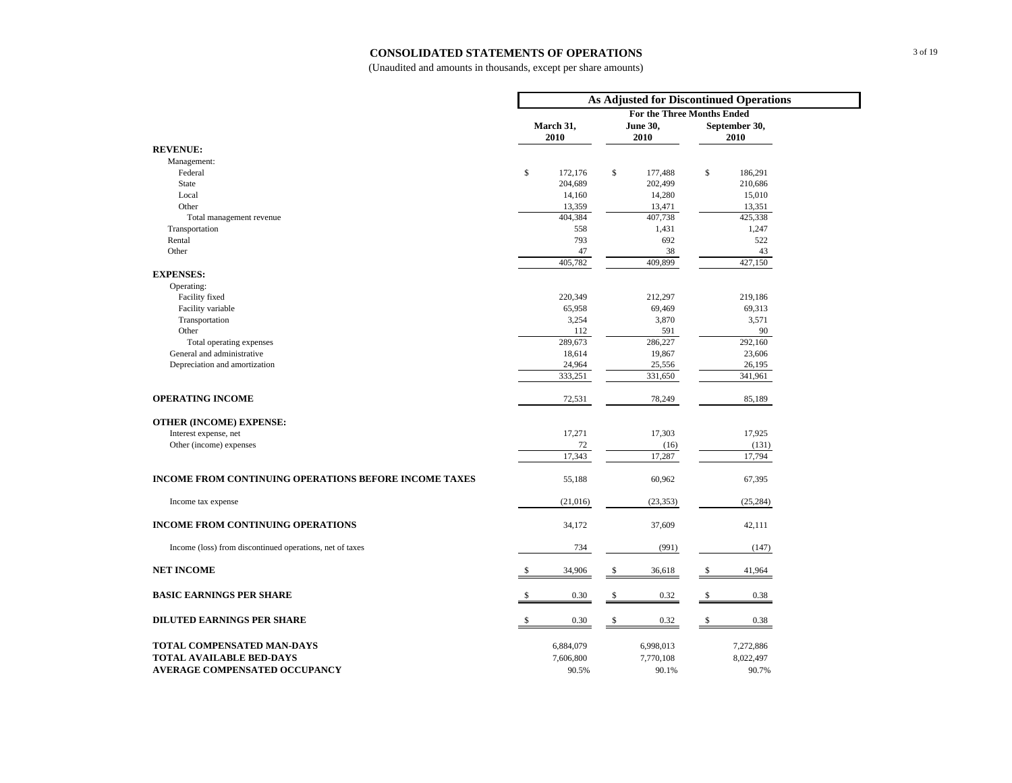#### **CONSOLIDATED STATEMENTS OF OPERATIONS**

|                                                              | As Adjusted for Discontinued Operations |                                   |               |  |  |  |  |  |
|--------------------------------------------------------------|-----------------------------------------|-----------------------------------|---------------|--|--|--|--|--|
|                                                              |                                         | <b>For the Three Months Ended</b> |               |  |  |  |  |  |
|                                                              | March 31,                               | June 30,                          | September 30, |  |  |  |  |  |
|                                                              | 2010                                    | 2010                              | 2010          |  |  |  |  |  |
| <b>REVENUE:</b>                                              |                                         |                                   |               |  |  |  |  |  |
| Management:                                                  |                                         |                                   |               |  |  |  |  |  |
| Federal                                                      | \$<br>172,176                           | \$<br>177,488                     | \$<br>186,291 |  |  |  |  |  |
| <b>State</b>                                                 | 204,689                                 | 202,499                           | 210,686       |  |  |  |  |  |
| Local                                                        | 14,160                                  | 14,280                            | 15,010        |  |  |  |  |  |
| Other                                                        | 13,359                                  | 13,471                            | 13,351        |  |  |  |  |  |
| Total management revenue                                     | 404,384                                 | 407,738                           | 425,338       |  |  |  |  |  |
| Transportation                                               | 558                                     | 1,431                             | 1,247         |  |  |  |  |  |
| Rental                                                       | 793                                     | 692                               | 522           |  |  |  |  |  |
| Other                                                        | 47                                      | 38                                | 43            |  |  |  |  |  |
|                                                              | 405,782                                 | 409,899                           | 427,150       |  |  |  |  |  |
| <b>EXPENSES:</b>                                             |                                         |                                   |               |  |  |  |  |  |
| Operating:                                                   |                                         |                                   |               |  |  |  |  |  |
| Facility fixed                                               | 220,349                                 | 212,297                           | 219,186       |  |  |  |  |  |
| Facility variable                                            | 65,958                                  | 69,469                            | 69,313        |  |  |  |  |  |
| Transportation                                               | 3,254                                   | 3,870                             | 3,571         |  |  |  |  |  |
| Other                                                        | 112                                     | 591                               | 90            |  |  |  |  |  |
| Total operating expenses                                     | 289,673                                 | 286,227                           | 292,160       |  |  |  |  |  |
| General and administrative                                   | 18,614                                  | 19,867                            | 23,606        |  |  |  |  |  |
| Depreciation and amortization                                | 24,964                                  | 25,556                            | 26,195        |  |  |  |  |  |
|                                                              | 333,251                                 | 331,650                           | 341,961       |  |  |  |  |  |
|                                                              |                                         |                                   |               |  |  |  |  |  |
| <b>OPERATING INCOME</b>                                      | 72,531                                  | 78,249                            | 85,189        |  |  |  |  |  |
|                                                              |                                         |                                   |               |  |  |  |  |  |
| <b>OTHER (INCOME) EXPENSE:</b>                               |                                         |                                   |               |  |  |  |  |  |
| Interest expense, net                                        | 17,271                                  | 17,303                            | 17,925        |  |  |  |  |  |
| Other (income) expenses                                      | 72                                      | (16)                              | (131)         |  |  |  |  |  |
|                                                              | 17,343                                  | 17,287                            | 17,794        |  |  |  |  |  |
|                                                              |                                         |                                   |               |  |  |  |  |  |
| <b>INCOME FROM CONTINUING OPERATIONS BEFORE INCOME TAXES</b> | 55,188                                  | 60,962                            | 67,395        |  |  |  |  |  |
|                                                              |                                         |                                   |               |  |  |  |  |  |
| Income tax expense                                           | (21,016)                                | (23, 353)                         | (25, 284)     |  |  |  |  |  |
|                                                              |                                         |                                   |               |  |  |  |  |  |
| <b>INCOME FROM CONTINUING OPERATIONS</b>                     | 34,172                                  | 37,609                            | 42,111        |  |  |  |  |  |
|                                                              |                                         |                                   |               |  |  |  |  |  |
| Income (loss) from discontinued operations, net of taxes     | 734                                     | (991)                             | (147)         |  |  |  |  |  |
|                                                              |                                         |                                   |               |  |  |  |  |  |
| <b>NET INCOME</b>                                            | <sup>\$</sup><br>34,906                 | \$<br>36,618                      | 41,964<br>S   |  |  |  |  |  |
|                                                              |                                         |                                   |               |  |  |  |  |  |
| <b>BASIC EARNINGS PER SHARE</b>                              | 0.30<br>\$                              | \$<br>0.32                        | 0.38<br>\$    |  |  |  |  |  |
|                                                              |                                         |                                   |               |  |  |  |  |  |
| <b>DILUTED EARNINGS PER SHARE</b>                            | 0.30<br><sup>\$</sup>                   | 0.32<br>\$                        | 0.38<br>\$    |  |  |  |  |  |
|                                                              |                                         |                                   |               |  |  |  |  |  |
|                                                              |                                         |                                   |               |  |  |  |  |  |
| TOTAL COMPENSATED MAN-DAYS                                   | 6,884,079                               | 6,998,013                         | 7,272,886     |  |  |  |  |  |
| <b>TOTAL AVAILABLE BED-DAYS</b>                              | 7,606,800                               | 7,770,108                         | 8,022,497     |  |  |  |  |  |
| AVERAGE COMPENSATED OCCUPANCY                                | 90.5%                                   | 90.1%                             | 90.7%         |  |  |  |  |  |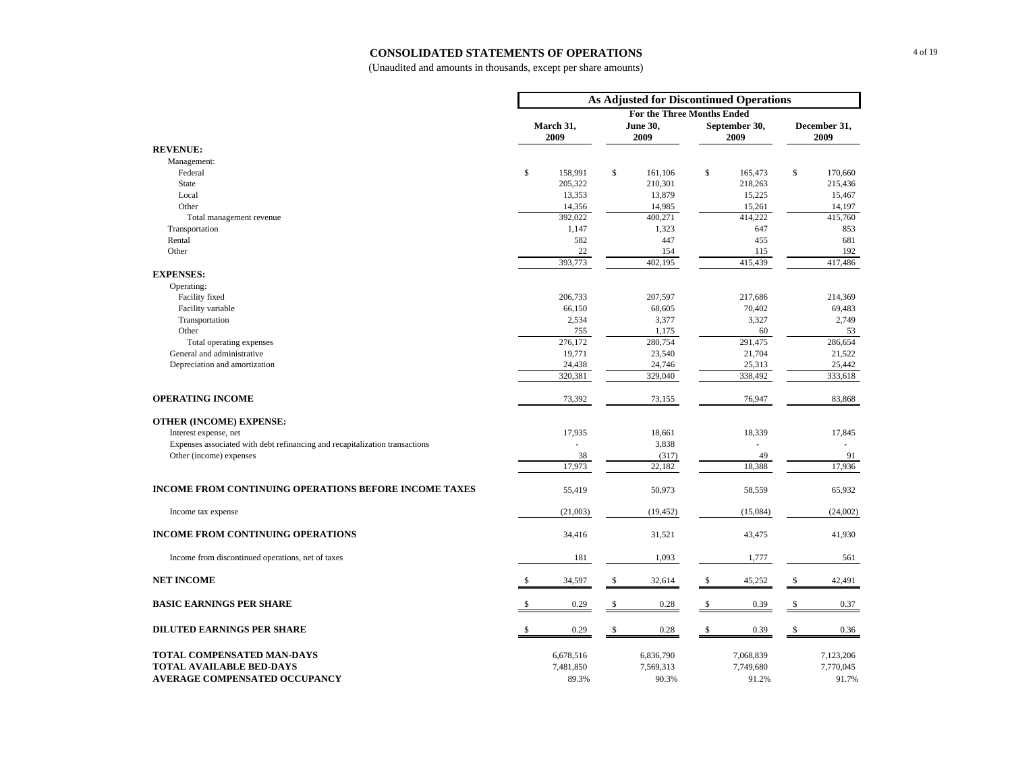#### **CONSOLIDATED STATEMENTS OF OPERATIONS**

|                                                                             | As Adjusted for Discontinued Operations      |                |    |                                   |               |                       |              |                      |  |
|-----------------------------------------------------------------------------|----------------------------------------------|----------------|----|-----------------------------------|---------------|-----------------------|--------------|----------------------|--|
|                                                                             |                                              |                |    | <b>For the Three Months Ended</b> |               |                       |              |                      |  |
|                                                                             | March 31,<br><b>June 30,</b><br>2009<br>2009 |                |    |                                   |               | September 30,<br>2009 |              | December 31,<br>2009 |  |
| <b>REVENUE:</b>                                                             |                                              |                |    |                                   |               |                       |              |                      |  |
| Management:                                                                 |                                              |                |    |                                   |               |                       |              |                      |  |
| Federal                                                                     | \$                                           | 158,991        | \$ | 161,106                           | $\mathbb{S}$  | 165,473               | $\mathbb S$  | 170,660              |  |
| State                                                                       |                                              | 205,322        |    | 210,301                           |               | 218,263               |              | 215,436              |  |
| Local                                                                       |                                              | 13,353         |    | 13,879                            |               | 15,225                |              | 15,467               |  |
| Other                                                                       |                                              | 14,356         |    | 14,985                            |               | 15,261                |              | 14,197               |  |
| Total management revenue                                                    |                                              | 392,022        |    | 400,271                           |               | 414,222               |              | 415,760              |  |
| Transportation                                                              |                                              | 1,147          |    | 1,323                             |               | 647                   |              | 853                  |  |
| Rental                                                                      |                                              | 582            |    | 447                               |               | 455                   |              | 681                  |  |
| Other                                                                       |                                              | 22             |    | 154                               |               | 115                   |              | 192                  |  |
|                                                                             |                                              | 393,773        |    | 402,195                           |               | 415,439               |              | 417,486              |  |
| <b>EXPENSES:</b>                                                            |                                              |                |    |                                   |               |                       |              |                      |  |
| Operating:                                                                  |                                              |                |    |                                   |               |                       |              |                      |  |
| Facility fixed                                                              |                                              | 206,733        |    | 207,597                           |               | 217,686               |              | 214,369              |  |
| Facility variable                                                           |                                              | 66,150         |    | 68,605                            |               | 70,402                |              | 69,483               |  |
| Transportation<br>Other                                                     |                                              | 2,534          |    | 3,377                             |               | 3,327                 |              | 2,749                |  |
| Total operating expenses                                                    |                                              | 755<br>276,172 |    | 1,175<br>280,754                  |               | 60<br>291,475         |              | 53<br>286,654        |  |
| General and administrative                                                  |                                              | 19,771         |    | 23,540                            |               | 21,704                |              | 21,522               |  |
| Depreciation and amortization                                               |                                              | 24,438         |    | 24,746                            |               | 25,313                |              | 25,442               |  |
|                                                                             |                                              | 320,381        |    | 329,040                           |               | 338,492               |              | 333,618              |  |
|                                                                             |                                              |                |    |                                   |               |                       |              |                      |  |
| <b>OPERATING INCOME</b>                                                     |                                              | 73,392         |    | 73,155                            |               | 76,947                |              | 83,868               |  |
| <b>OTHER (INCOME) EXPENSE:</b>                                              |                                              |                |    |                                   |               |                       |              |                      |  |
| Interest expense, net                                                       |                                              | 17,935         |    | 18,661                            |               | 18,339                |              | 17,845               |  |
| Expenses associated with debt refinancing and recapitalization transactions |                                              | L.             |    | 3,838                             |               |                       |              | ×.                   |  |
| Other (income) expenses                                                     |                                              | 38             |    | (317)                             |               | 49                    |              | 91                   |  |
|                                                                             |                                              | 17,973         |    | 22,182                            |               | 18,388                |              | 17,936               |  |
|                                                                             |                                              |                |    |                                   |               |                       |              |                      |  |
| <b>INCOME FROM CONTINUING OPERATIONS BEFORE INCOME TAXES</b>                |                                              | 55,419         |    | 50,973                            |               | 58,559                |              | 65,932               |  |
| Income tax expense                                                          |                                              | (21,003)       |    | (19, 452)                         |               | (15,084)              |              | (24,002)             |  |
| <b>INCOME FROM CONTINUING OPERATIONS</b>                                    |                                              | 34,416         |    | 31,521                            |               | 43,475                |              | 41,930               |  |
| Income from discontinued operations, net of taxes                           |                                              | 181            |    | 1,093                             |               | 1,777                 |              | 561                  |  |
| <b>NET INCOME</b>                                                           | -S                                           | 34,597         | \$ | 32,614                            | -\$           | 45,252                | $\mathbb{S}$ | 42,491               |  |
| <b>BASIC EARNINGS PER SHARE</b>                                             |                                              | 0.29           | \$ | 0.28                              | $\mathsf{\$}$ | 0.39                  | \$           | 0.37                 |  |
|                                                                             |                                              |                |    |                                   |               |                       |              |                      |  |
| <b>DILUTED EARNINGS PER SHARE</b>                                           |                                              | 0.29           | \$ | 0.28                              | \$            | 0.39                  | S            | 0.36                 |  |
| TOTAL COMPENSATED MAN-DAYS                                                  |                                              | 6,678,516      |    | 6,836,790                         |               | 7,068,839             |              | 7,123,206            |  |
| <b>TOTAL AVAILABLE BED-DAYS</b>                                             |                                              | 7,481,850      |    | 7,569,313                         |               | 7,749,680             |              | 7,770,045            |  |
| <b>AVERAGE COMPENSATED OCCUPANCY</b>                                        |                                              | 89.3%          |    | 90.3%                             |               | 91.2%                 |              | 91.7%                |  |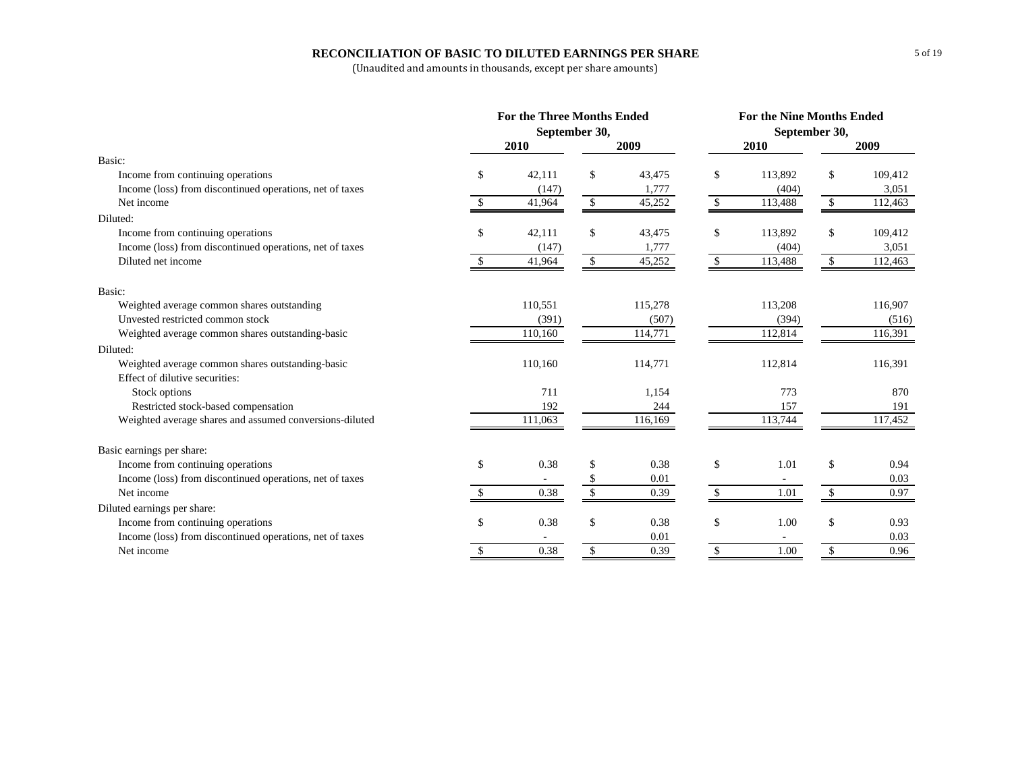#### **RECONCILIATION OF BASIC TO DILUTED EARNINGS PER SHARE**

|                                                          | <b>For the Three Months Ended</b> |         |               |         |    | <b>For the Nine Months Ended</b> |    |         |  |  |  |
|----------------------------------------------------------|-----------------------------------|---------|---------------|---------|----|----------------------------------|----|---------|--|--|--|
|                                                          | September 30,                     |         |               |         |    | September 30,                    |    |         |  |  |  |
|                                                          |                                   | 2010    |               | 2009    |    | 2010                             |    | 2009    |  |  |  |
| Basic:                                                   |                                   |         |               |         |    |                                  |    |         |  |  |  |
| Income from continuing operations                        | \$                                | 42,111  | <sup>\$</sup> | 43,475  | \$ | 113,892                          | \$ | 109,412 |  |  |  |
| Income (loss) from discontinued operations, net of taxes |                                   | (147)   |               | 1,777   |    | (404)                            |    | 3,051   |  |  |  |
| Net income                                               | \$.                               | 41,964  | \$            | 45,252  | \$ | 113,488                          | \$ | 112,463 |  |  |  |
| Diluted:                                                 |                                   |         |               |         |    |                                  |    |         |  |  |  |
| Income from continuing operations                        | \$                                | 42,111  | \$            | 43,475  | \$ | 113,892                          | \$ | 109,412 |  |  |  |
| Income (loss) from discontinued operations, net of taxes |                                   | (147)   |               | 1,777   |    | (404)                            |    | 3,051   |  |  |  |
| Diluted net income                                       | \$                                | 41,964  | \$            | 45,252  | \$ | 113,488                          | \$ | 112,463 |  |  |  |
| Basic:                                                   |                                   |         |               |         |    |                                  |    |         |  |  |  |
| Weighted average common shares outstanding               |                                   | 110,551 |               | 115,278 |    | 113,208                          |    | 116,907 |  |  |  |
| Unvested restricted common stock                         |                                   | (391)   |               | (507)   |    | (394)                            |    | (516)   |  |  |  |
| Weighted average common shares outstanding-basic         |                                   | 110,160 |               | 114,771 |    | 112,814                          |    | 116,391 |  |  |  |
| Diluted:                                                 |                                   |         |               |         |    |                                  |    |         |  |  |  |
| Weighted average common shares outstanding-basic         |                                   | 110,160 |               | 114,771 |    | 112,814                          |    | 116,391 |  |  |  |
| Effect of dilutive securities:                           |                                   |         |               |         |    |                                  |    |         |  |  |  |
| Stock options                                            |                                   | 711     |               | 1,154   |    | 773                              |    | 870     |  |  |  |
| Restricted stock-based compensation                      |                                   | 192     |               | 244     |    | 157                              |    | 191     |  |  |  |
| Weighted average shares and assumed conversions-diluted  |                                   | 111,063 |               | 116,169 |    | 113,744                          |    | 117,452 |  |  |  |
| Basic earnings per share:                                |                                   |         |               |         |    |                                  |    |         |  |  |  |
| Income from continuing operations                        | \$                                | 0.38    | \$            | 0.38    | \$ | 1.01                             | \$ | 0.94    |  |  |  |
| Income (loss) from discontinued operations, net of taxes |                                   |         |               | 0.01    |    |                                  |    | 0.03    |  |  |  |
| Net income                                               |                                   | 0.38    | \$            | 0.39    |    | 1.01                             | \$ | 0.97    |  |  |  |
| Diluted earnings per share:                              |                                   |         |               |         |    |                                  |    |         |  |  |  |
| Income from continuing operations                        | \$                                | 0.38    | \$            | 0.38    | \$ | 1.00                             | \$ | 0.93    |  |  |  |
| Income (loss) from discontinued operations, net of taxes |                                   |         |               | 0.01    |    |                                  |    | 0.03    |  |  |  |
| Net income                                               | \$                                | 0.38    | \$            | 0.39    | \$ | 1.00                             | \$ | 0.96    |  |  |  |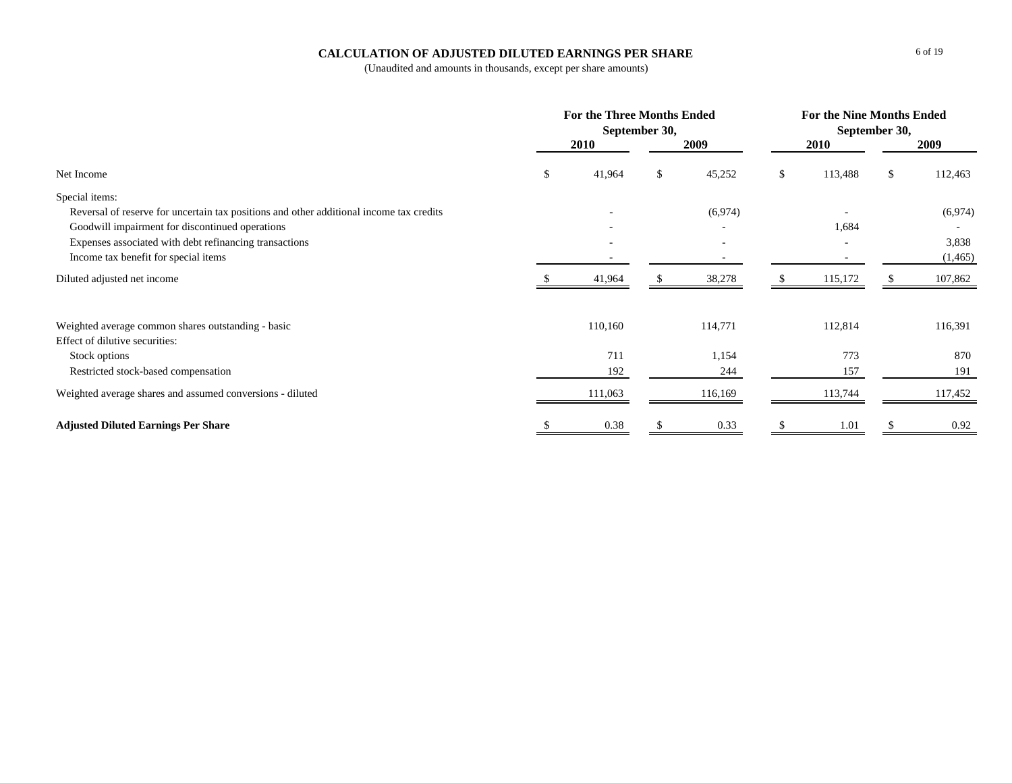#### **CALCULATION OF ADJUSTED DILUTED EARNINGS PER SHARE**

|                                                                                         | <b>For the Three Months Ended</b><br>September 30, |         |    |         |    | <b>For the Nine Months Ended</b><br>September 30, |    |          |  |  |
|-----------------------------------------------------------------------------------------|----------------------------------------------------|---------|----|---------|----|---------------------------------------------------|----|----------|--|--|
|                                                                                         |                                                    | 2010    |    | 2009    |    | 2010                                              |    | 2009     |  |  |
| Net Income                                                                              |                                                    | 41,964  | \$ | 45,252  | \$ | 113,488                                           | \$ | 112,463  |  |  |
| Special items:                                                                          |                                                    |         |    |         |    |                                                   |    |          |  |  |
| Reversal of reserve for uncertain tax positions and other additional income tax credits |                                                    |         |    | (6,974) |    |                                                   |    | (6,974)  |  |  |
| Goodwill impairment for discontinued operations                                         |                                                    |         |    |         |    | 1,684                                             |    |          |  |  |
| Expenses associated with debt refinancing transactions                                  |                                                    |         |    |         |    |                                                   |    | 3,838    |  |  |
| Income tax benefit for special items                                                    |                                                    |         |    |         |    |                                                   |    | (1, 465) |  |  |
| Diluted adjusted net income                                                             |                                                    | 41,964  |    | 38,278  |    | 115,172                                           |    | 107,862  |  |  |
| Weighted average common shares outstanding - basic                                      |                                                    | 110,160 |    | 114,771 |    | 112,814                                           |    | 116,391  |  |  |
| Effect of dilutive securities:                                                          |                                                    |         |    |         |    |                                                   |    |          |  |  |
| Stock options                                                                           |                                                    | 711     |    | 1,154   |    | 773                                               |    | 870      |  |  |
| Restricted stock-based compensation                                                     |                                                    | 192     |    | 244     |    | 157                                               |    | 191      |  |  |
| Weighted average shares and assumed conversions - diluted                               |                                                    | 111,063 |    | 116,169 |    | 113,744                                           |    | 117,452  |  |  |
| <b>Adjusted Diluted Earnings Per Share</b>                                              |                                                    | 0.38    |    | 0.33    |    | 1.01                                              |    | 0.92     |  |  |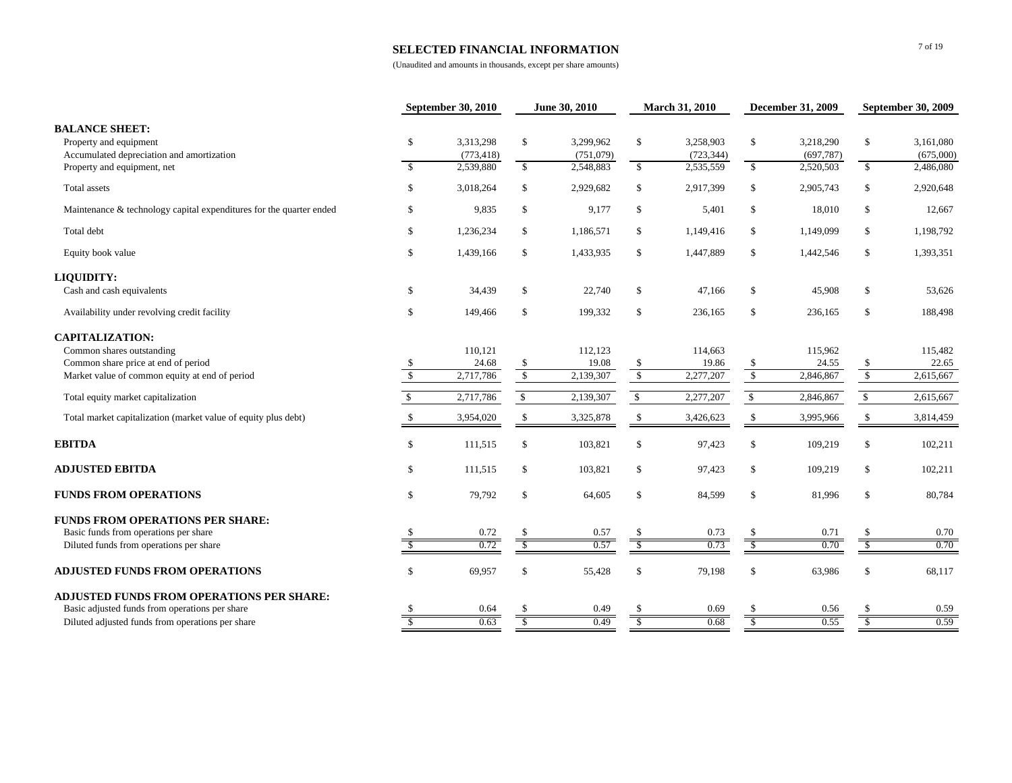#### **SELECTED FINANCIAL INFORMATION**

|                                                                                                                             |                               | September 30, 2010                   |                          | June 30, 2010                       |                    | <b>March 31, 2010</b>                |                          | <b>December 31, 2009</b>            |                         | <b>September 30, 2009</b>           |  |
|-----------------------------------------------------------------------------------------------------------------------------|-------------------------------|--------------------------------------|--------------------------|-------------------------------------|--------------------|--------------------------------------|--------------------------|-------------------------------------|-------------------------|-------------------------------------|--|
| <b>BALANCE SHEET:</b><br>Property and equipment<br>Accumulated depreciation and amortization<br>Property and equipment, net | \$<br>$\overline{\mathbf{s}}$ | 3,313,298<br>(773, 418)<br>2,539,880 | \$<br>$\mathbb{S}$       | 3,299,962<br>(751,079)<br>2,548,883 | \$<br>$\mathbb{S}$ | 3,258,903<br>(723, 344)<br>2,535,559 | \$<br>$\mathbb{S}$       | 3,218,290<br>(697,787)<br>2,520,503 | \$<br>$\mathbb{S}$      | 3,161,080<br>(675,000)<br>2,486,080 |  |
| Total assets                                                                                                                | $\mathbb{S}$                  | 3,018,264                            | \$                       | 2,929,682                           | \$                 | 2,917,399                            | \$                       | 2,905,743                           | \$                      | 2,920,648                           |  |
| Maintenance & technology capital expenditures for the quarter ended                                                         | $\mathbb{S}$                  | 9,835                                | $\mathbb{S}$             | 9,177                               | \$                 | 5,401                                | \$                       | 18,010                              | \$                      | 12,667                              |  |
| Total debt                                                                                                                  | $\mathcal{S}$                 | 1,236,234                            | $\mathbb{S}$             | 1,186,571                           | \$                 | 1,149,416                            | \$                       | 1,149,099                           | $\$$                    | 1,198,792                           |  |
| Equity book value                                                                                                           | $\mathcal{S}$                 | 1,439,166                            | $\mathbb{S}$             | 1,433,935                           | \$                 | 1,447,889                            | \$                       | 1,442,546                           | $\$$                    | 1,393,351                           |  |
| <b>LIQUIDITY:</b>                                                                                                           |                               |                                      |                          |                                     |                    |                                      |                          |                                     |                         |                                     |  |
| Cash and cash equivalents                                                                                                   | \$                            | 34,439                               | \$                       | 22,740                              | \$                 | 47,166                               | \$                       | 45,908                              | \$                      | 53,626                              |  |
| Availability under revolving credit facility                                                                                | $\mathbb{S}$                  | 149,466                              | \$                       | 199,332                             | \$                 | 236,165                              | \$                       | 236,165                             | $\$$                    | 188,498                             |  |
| <b>CAPITALIZATION:</b>                                                                                                      |                               |                                      |                          |                                     |                    |                                      |                          |                                     |                         |                                     |  |
| Common shares outstanding                                                                                                   |                               | 110,121                              |                          | 112,123                             |                    | 114,663                              |                          | 115,962                             |                         | 115,482                             |  |
| Common share price at end of period                                                                                         | \$                            | 24.68                                | \$                       | 19.08                               | \$                 | 19.86                                | \$                       | 24.55                               | \$                      | 22.65                               |  |
| Market value of common equity at end of period                                                                              | $\mathbb{S}$                  | 2,717,786                            | $\sqrt{3}$               | 2,139,307                           | $\mathcal{S}$      | 2,277,207                            | $\sqrt{3}$               | 2,846,867                           | $\sqrt{2}$              | 2,615,667                           |  |
| Total equity market capitalization                                                                                          | \$.                           | 2,717,786                            | $\mathbb{S}$             | 2,139,307                           | $\mathbb{S}$       | 2,277,207                            | $\mathcal{S}$            | 2,846,867                           | $\mathbb{S}$            | 2,615,667                           |  |
| Total market capitalization (market value of equity plus debt)                                                              |                               | 3,954,020                            | \$                       | 3,325,878                           | $\mathbb{S}$       | 3,426,623                            | \$                       | 3,995,966                           | \$                      | 3,814,459                           |  |
| <b>EBITDA</b>                                                                                                               | $\mathbb{S}$                  | 111,515                              | \$                       | 103,821                             | \$                 | 97,423                               | \$                       | 109,219                             | \$                      | 102,211                             |  |
| <b>ADJUSTED EBITDA</b>                                                                                                      | $\mathbb{S}$                  | 111,515                              | $\mathbb S$              | 103,821                             | $\mathbb{S}$       | 97,423                               | \$                       | 109,219                             | $\$$                    | 102,211                             |  |
| <b>FUNDS FROM OPERATIONS</b>                                                                                                | $\mathbb{S}$                  | 79,792                               | \$                       | 64,605                              | $\mathbb{S}$       | 84,599                               | \$                       | 81,996                              | $\$$                    | 80,784                              |  |
| <b>FUNDS FROM OPERATIONS PER SHARE:</b>                                                                                     |                               |                                      |                          |                                     |                    |                                      |                          |                                     |                         |                                     |  |
| Basic funds from operations per share                                                                                       |                               | 0.72                                 | <sup>\$</sup>            | 0.57                                | \$                 | 0.73                                 | \$                       | 0.71                                | -S                      | 0.70                                |  |
| Diluted funds from operations per share                                                                                     |                               | 0.72                                 |                          | 0.57                                |                    | 0.73                                 | $\overline{\mathcal{S}}$ | 0.70                                |                         | 0.70                                |  |
| <b>ADJUSTED FUNDS FROM OPERATIONS</b>                                                                                       | $\mathbb{S}$                  | 69,957                               | \$                       | 55,428                              | \$                 | 79,198                               | \$                       | 63,986                              | <sup>\$</sup>           | 68,117                              |  |
| <b>ADJUSTED FUNDS FROM OPERATIONS PER SHARE:</b>                                                                            |                               |                                      |                          |                                     |                    |                                      |                          |                                     |                         |                                     |  |
| Basic adjusted funds from operations per share                                                                              |                               | 0.64                                 |                          | 0.49                                |                    | 0.69                                 |                          | 0.56                                |                         | 0.59                                |  |
| Diluted adjusted funds from operations per share                                                                            |                               | 0.63                                 | $\overline{\mathcal{S}}$ | 0.49                                | $\mathcal{S}$      | 0.68                                 | $\overline{\mathcal{S}}$ | 0.55                                | $\overline{\mathbf{s}}$ | 0.59                                |  |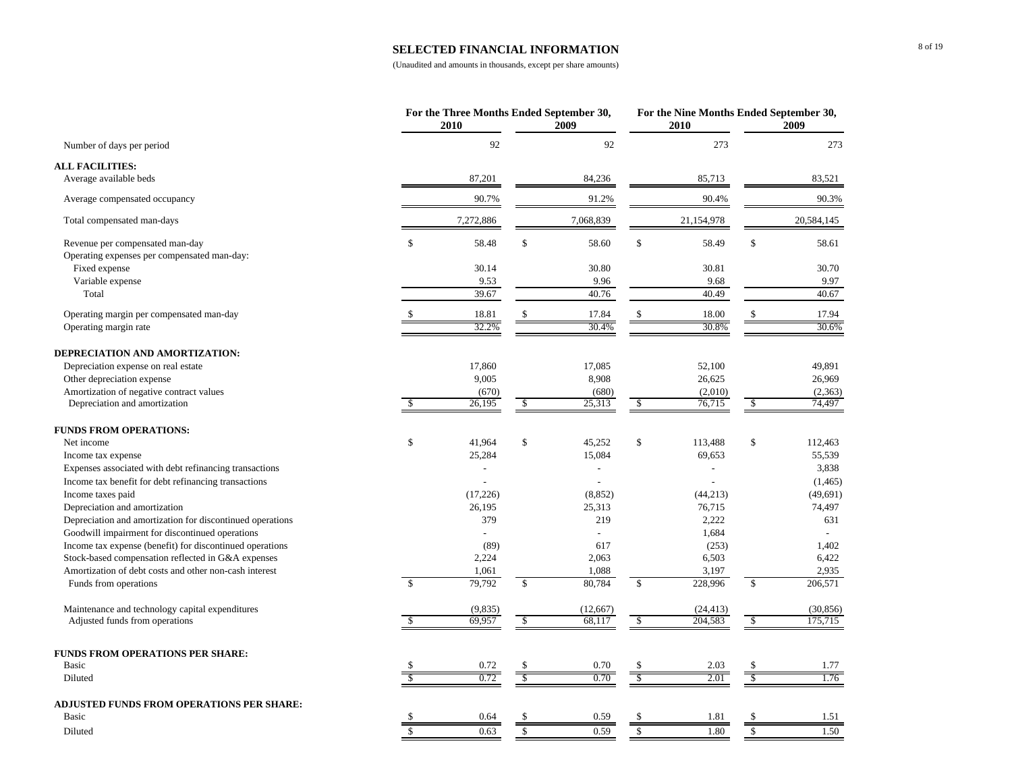#### **SELECTED FINANCIAL INFORMATION**

|                                                                                |                          | For the Three Months Ended September 30,<br>2010 |                          | 2009           |                | For the Nine Months Ended September 30,<br>2010 |                      | 2009                     |
|--------------------------------------------------------------------------------|--------------------------|--------------------------------------------------|--------------------------|----------------|----------------|-------------------------------------------------|----------------------|--------------------------|
| Number of days per period                                                      |                          | 92                                               |                          | 92             |                | 273                                             |                      | 273                      |
| <b>ALL FACILITIES:</b>                                                         |                          |                                                  |                          |                |                |                                                 |                      |                          |
| Average available beds                                                         |                          | 87,201                                           |                          | 84,236         |                | 85,713                                          |                      | 83,521                   |
| Average compensated occupancy                                                  |                          | 90.7%                                            |                          | 91.2%          |                | 90.4%                                           |                      | 90.3%                    |
| Total compensated man-days                                                     |                          | 7,272,886                                        |                          | 7,068,839      |                | 21,154,978                                      |                      | 20,584,145               |
| Revenue per compensated man-day<br>Operating expenses per compensated man-day: | \$                       | 58.48                                            | $\mathbb S$              | 58.60          | $\mathbb{S}$   | 58.49                                           | \$                   | 58.61                    |
| Fixed expense                                                                  |                          | 30.14                                            |                          | 30.80          |                | 30.81                                           |                      | 30.70                    |
| Variable expense                                                               |                          | 9.53                                             |                          | 9.96           |                | 9.68                                            |                      | 9.97                     |
| Total                                                                          |                          | 39.67                                            |                          | 40.76          |                | 40.49                                           |                      | 40.67                    |
| Operating margin per compensated man-day                                       | \$                       | 18.81                                            | $\mathbb{S}$             | 17.84          | \$             | 18.00                                           | \$                   | 17.94                    |
| Operating margin rate                                                          |                          | 32.2%                                            |                          | 30.4%          |                | 30.8%                                           |                      | 30.6%                    |
| DEPRECIATION AND AMORTIZATION:                                                 |                          |                                                  |                          |                |                |                                                 |                      |                          |
| Depreciation expense on real estate                                            |                          | 17,860                                           |                          | 17,085         |                | 52,100                                          |                      | 49,891                   |
| Other depreciation expense                                                     |                          | 9,005                                            |                          | 8,908          |                | 26,625                                          |                      | 26,969                   |
| Amortization of negative contract values                                       |                          | (670)                                            |                          | (680)          |                | (2,010)                                         |                      | (2,363)                  |
| Depreciation and amortization                                                  | $\mathbb{S}$             | 26,195                                           | $\mathbb{S}$             | 25,313         | $\mathbb{S}$   | 76,715                                          | $\mathbb{S}$         | 74,497                   |
| <b>FUNDS FROM OPERATIONS:</b>                                                  |                          |                                                  |                          |                |                |                                                 |                      |                          |
| Net income                                                                     | \$                       | 41,964                                           | \$                       | 45,252         | \$             | 113,488                                         | \$                   | 112,463                  |
| Income tax expense                                                             |                          | 25,284                                           |                          | 15,084         |                | 69,653                                          |                      | 55,539                   |
| Expenses associated with debt refinancing transactions                         |                          |                                                  |                          |                |                |                                                 |                      | 3,838                    |
| Income tax benefit for debt refinancing transactions                           |                          |                                                  |                          |                |                |                                                 |                      | (1, 465)                 |
| Income taxes paid                                                              |                          | (17,226)                                         |                          | (8, 852)       |                | (44, 213)                                       |                      | (49, 691)                |
| Depreciation and amortization                                                  |                          | 26,195                                           |                          | 25,313         |                | 76,715                                          |                      | 74,497                   |
| Depreciation and amortization for discontinued operations                      |                          | 379                                              |                          | 219            |                | 2,222                                           |                      | 631                      |
| Goodwill impairment for discontinued operations                                |                          |                                                  |                          | $\overline{a}$ |                | 1,684                                           |                      | $\overline{\phantom{a}}$ |
| Income tax expense (benefit) for discontinued operations                       |                          | (89)                                             |                          | 617            |                | (253)                                           |                      | 1,402                    |
| Stock-based compensation reflected in G&A expenses                             |                          | 2,224                                            |                          | 2,063          |                | 6,503                                           |                      | 6,422                    |
| Amortization of debt costs and other non-cash interest                         |                          | 1,061                                            |                          | 1,088          |                | 3,197                                           |                      | 2,935                    |
| Funds from operations                                                          | $\overline{\mathbf{s}}$  | 79,792                                           | $\mathbb{S}$             | 80,784         | $\mathbb{S}$   | 228,996                                         | \$                   | 206,571                  |
| Maintenance and technology capital expenditures                                |                          | (9,835)                                          |                          | (12,667)       |                | (24, 413)                                       |                      | (30, 856)                |
| Adjusted funds from operations                                                 | $\overline{\mathcal{S}}$ | 69,957                                           | $\overline{\mathcal{S}}$ | 68.117         | $\mathcal{S}$  | 204.583                                         | $\mathcal{S}$        | 175,715                  |
| <b>FUNDS FROM OPERATIONS PER SHARE:</b>                                        |                          |                                                  |                          |                |                |                                                 |                      |                          |
| <b>Basic</b>                                                                   |                          | 0.72                                             | \$                       | 0.70           |                | 2.03                                            | \$                   | 1.77                     |
| Diluted                                                                        | $\overline{\mathcal{S}}$ | 0.72                                             | $\sqrt{\ }$              | 0.70           | $\overline{s}$ | 2.01                                            |                      | 1.76                     |
| <b>ADJUSTED FUNDS FROM OPERATIONS PER SHARE:</b>                               |                          |                                                  |                          |                |                |                                                 |                      |                          |
| <b>Basic</b>                                                                   | \$                       | 0.64                                             | \$                       | 0.59           |                | 1.81                                            | \$                   | 1.51                     |
| Diluted                                                                        | $\mathbf S$              | 0.63                                             | $\mathbb S$              | 0.59           | $\mathbb{S}$   | 1.80                                            | $\sqrt{\frac{2}{5}}$ | 1.50                     |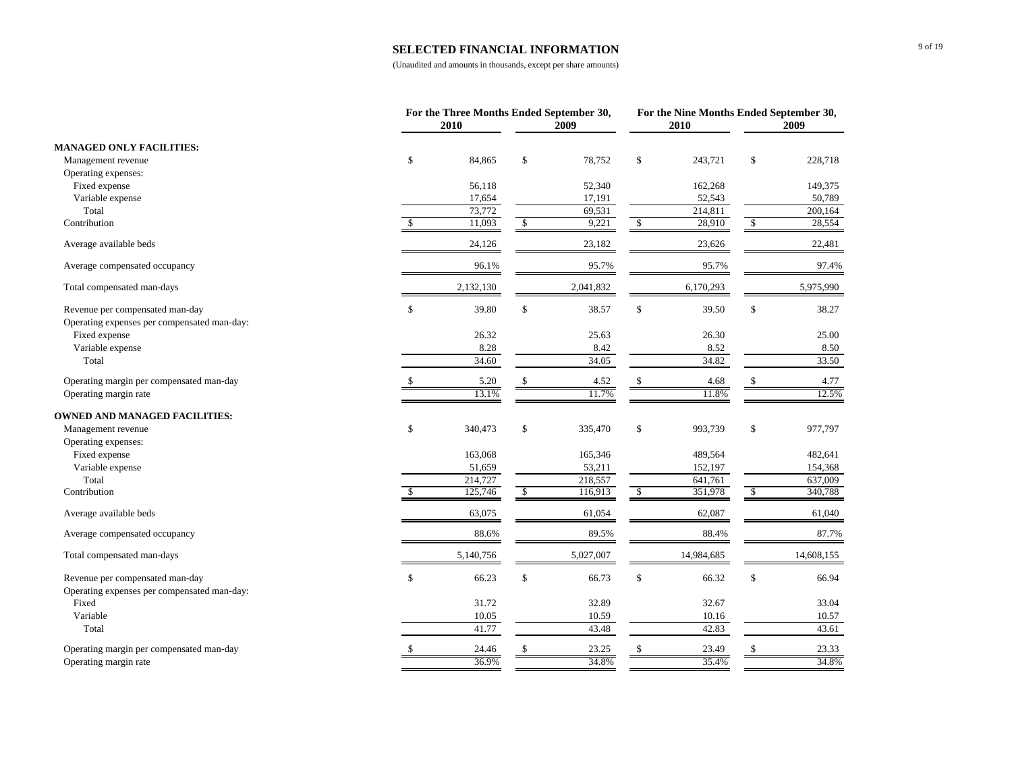#### **SELECTED FINANCIAL INFORMATION**

|                                             |               | For the Three Months Ended September 30,<br>2010 |              | 2009      |               | 2010       | For the Nine Months Ended September 30,<br>2009 |            |
|---------------------------------------------|---------------|--------------------------------------------------|--------------|-----------|---------------|------------|-------------------------------------------------|------------|
| <b>MANAGED ONLY FACILITIES:</b>             |               |                                                  |              |           |               |            |                                                 |            |
| Management revenue                          | $\mathcal{S}$ | 84,865                                           | \$           | 78,752    | \$            | 243,721    | \$                                              | 228,718    |
| Operating expenses:                         |               |                                                  |              |           |               |            |                                                 |            |
| Fixed expense                               |               | 56,118                                           |              | 52,340    |               | 162,268    |                                                 | 149,375    |
| Variable expense                            |               | 17,654                                           |              | 17,191    |               | 52,543     |                                                 | 50,789     |
| Total                                       |               | 73,772                                           |              | 69,531    |               | 214,811    |                                                 | 200,164    |
| Contribution                                | \$            | 11,093                                           | $\mathbb{S}$ | 9,221     | \$            | 28,910     | \$                                              | 28,554     |
| Average available beds                      |               | 24,126                                           |              | 23,182    |               | 23,626     |                                                 | 22,481     |
| Average compensated occupancy               |               | 96.1%                                            |              | 95.7%     |               | 95.7%      |                                                 | 97.4%      |
| Total compensated man-days                  |               | 2,132,130                                        |              | 2,041,832 |               | 6,170,293  |                                                 | 5,975,990  |
| Revenue per compensated man-day             | $\mathcal{S}$ | 39.80                                            | \$           | 38.57     | \$            | 39.50      | \$                                              | 38.27      |
| Operating expenses per compensated man-day: |               |                                                  |              |           |               |            |                                                 |            |
| Fixed expense                               |               | 26.32                                            |              | 25.63     |               | 26.30      |                                                 | 25.00      |
| Variable expense                            |               | 8.28                                             |              | 8.42      |               | 8.52       |                                                 | 8.50       |
| Total                                       |               | 34.60                                            |              | 34.05     |               | 34.82      |                                                 | 33.50      |
| Operating margin per compensated man-day    |               | 5.20                                             | \$           | 4.52      | $\mathbb{S}$  | 4.68       | \$                                              | 4.77       |
| Operating margin rate                       |               | 13.1%                                            |              | 11.7%     |               | 11.8%      |                                                 | 12.5%      |
| <b>OWNED AND MANAGED FACILITIES:</b>        |               |                                                  |              |           |               |            |                                                 |            |
| Management revenue                          | $\mathbb{S}$  | 340,473                                          | $\mathbb{S}$ | 335,470   | \$            | 993,739    | \$                                              | 977,797    |
| Operating expenses:                         |               |                                                  |              |           |               |            |                                                 |            |
| Fixed expense                               |               | 163,068                                          |              | 165,346   |               | 489,564    |                                                 | 482,641    |
| Variable expense                            |               | 51,659                                           |              | 53,211    |               | 152,197    |                                                 | 154,368    |
| Total                                       |               | 214,727                                          |              | 218,557   |               | 641,761    |                                                 | 637,009    |
| Contribution                                | -S            | 125,746                                          | \$           | 116,913   | $\mathcal{S}$ | 351,978    | \$                                              | 340,788    |
| Average available beds                      |               | 63,075                                           |              | 61,054    |               | 62,087     |                                                 | 61,040     |
| Average compensated occupancy               |               | 88.6%                                            |              | 89.5%     |               | 88.4%      |                                                 | 87.7%      |
| Total compensated man-days                  |               | 5,140,756                                        |              | 5,027,007 |               | 14,984,685 |                                                 | 14,608,155 |
| Revenue per compensated man-day             | $\mathbb{S}$  | 66.23                                            | \$           | 66.73     | \$            | 66.32      | \$                                              | 66.94      |
| Operating expenses per compensated man-day: |               |                                                  |              |           |               |            |                                                 |            |
| Fixed                                       |               | 31.72                                            |              | 32.89     |               | 32.67      |                                                 | 33.04      |
| Variable                                    |               | 10.05                                            |              | 10.59     |               | 10.16      |                                                 | 10.57      |
| Total                                       |               | 41.77                                            |              | 43.48     |               | 42.83      |                                                 | 43.61      |
| Operating margin per compensated man-day    |               | 24.46                                            |              | 23.25     |               | 23.49      |                                                 | 23.33      |
| Operating margin rate                       |               | 36.9%                                            |              | 34.8%     |               | 35.4%      |                                                 | 34.8%      |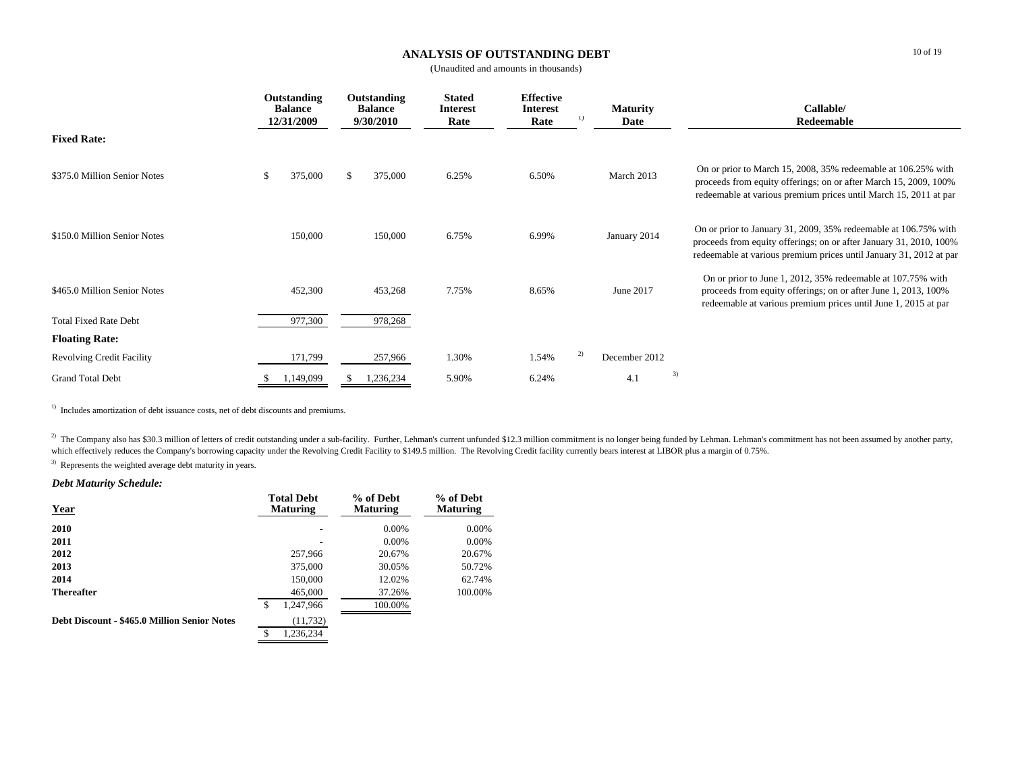#### **ANALYSIS OF OUTSTANDING DEBT**

(Unaudited and amounts in thousands)

|                                  | Outstanding<br><b>Balance</b><br>12/31/2009 |               | Outstanding<br><b>Balance</b><br>9/30/2010 | <b>Stated</b><br><b>Interest</b><br>Rate | <b>Effective</b><br><b>Interest</b><br>Rate | $_{1}$ | <b>Maturity</b><br>Date |    | Callable/<br>Redeemable                                                                                                                                                                                     |
|----------------------------------|---------------------------------------------|---------------|--------------------------------------------|------------------------------------------|---------------------------------------------|--------|-------------------------|----|-------------------------------------------------------------------------------------------------------------------------------------------------------------------------------------------------------------|
| <b>Fixed Rate:</b>               |                                             |               |                                            |                                          |                                             |        |                         |    |                                                                                                                                                                                                             |
| \$375.0 Million Senior Notes     | 375,000                                     | <sup>\$</sup> | 375,000                                    | 6.25%                                    | 6.50%                                       |        | March 2013              |    | On or prior to March 15, 2008, 35% redeemable at 106.25% with<br>proceeds from equity offerings; on or after March 15, 2009, 100%<br>redeemable at various premium prices until March 15, 2011 at par       |
| \$150.0 Million Senior Notes     | 150,000                                     |               | 150,000                                    | 6.75%                                    | 6.99%                                       |        | January 2014            |    | On or prior to January 31, 2009, 35% redeemable at 106.75% with<br>proceeds from equity offerings; on or after January 31, 2010, 100%<br>redeemable at various premium prices until January 31, 2012 at par |
| \$465.0 Million Senior Notes     | 452,300                                     |               | 453,268                                    | 7.75%                                    | 8.65%                                       |        | June 2017               |    | On or prior to June 1, 2012, 35% redeemable at 107.75% with<br>proceeds from equity offerings; on or after June 1, 2013, 100%<br>redeemable at various premium prices until June 1, 2015 at par             |
| <b>Total Fixed Rate Debt</b>     | 977,300                                     |               | 978,268                                    |                                          |                                             |        |                         |    |                                                                                                                                                                                                             |
| <b>Floating Rate:</b>            |                                             |               |                                            |                                          |                                             |        |                         |    |                                                                                                                                                                                                             |
| <b>Revolving Credit Facility</b> | 171,799                                     |               | 257,966                                    | 1.30%                                    | 1.54%                                       | 2)     | December 2012           |    |                                                                                                                                                                                                             |
| <b>Grand Total Debt</b>          | 1,149,099                                   |               | 1,236,234                                  | 5.90%                                    | 6.24%                                       |        | 4.1                     | 3) |                                                                                                                                                                                                             |

 $1)$  Includes amortization of debt issuance costs, net of debt discounts and premiums.

<sup>2)</sup> The Company also has \$30.3 million of letters of credit outstanding under a sub-facility. Further, Lehman's current unfunded \$12.3 million commitment is no longer being funded by Lehman. Lehman's commitment has not be which effectively reduces the Company's borrowing capacity under the Revolving Credit Facility to \$149.5 million. The Revolving Credit facility currently bears interest at LIBOR plus a margin of 0.75%.

<sup>3)</sup> Represents the weighted average debt maturity in years.

#### *Debt Maturity Schedule:*

| <b>Year</b>                                  | <b>Total Debt</b><br><b>Maturing</b> | % of Debt<br><b>Maturing</b> | % of Debt<br><b>Maturing</b> |
|----------------------------------------------|--------------------------------------|------------------------------|------------------------------|
| 2010                                         |                                      | 0.00%                        | $0.00\%$                     |
| 2011                                         |                                      | $0.00\%$                     | 0.00%                        |
| 2012                                         | 257,966                              | 20.67%                       | 20.67%                       |
| 2013                                         | 375,000                              | 30.05%                       | 50.72%                       |
| 2014                                         | 150,000                              | 12.02%                       | 62.74%                       |
| <b>Thereafter</b>                            | 465,000                              | 37.26%                       | 100.00%                      |
|                                              | \$<br>1,247,966                      | 100.00%                      |                              |
| Debt Discount - \$465.0 Million Senior Notes | (11, 732)                            |                              |                              |
|                                              | £.<br>1.236.234                      |                              |                              |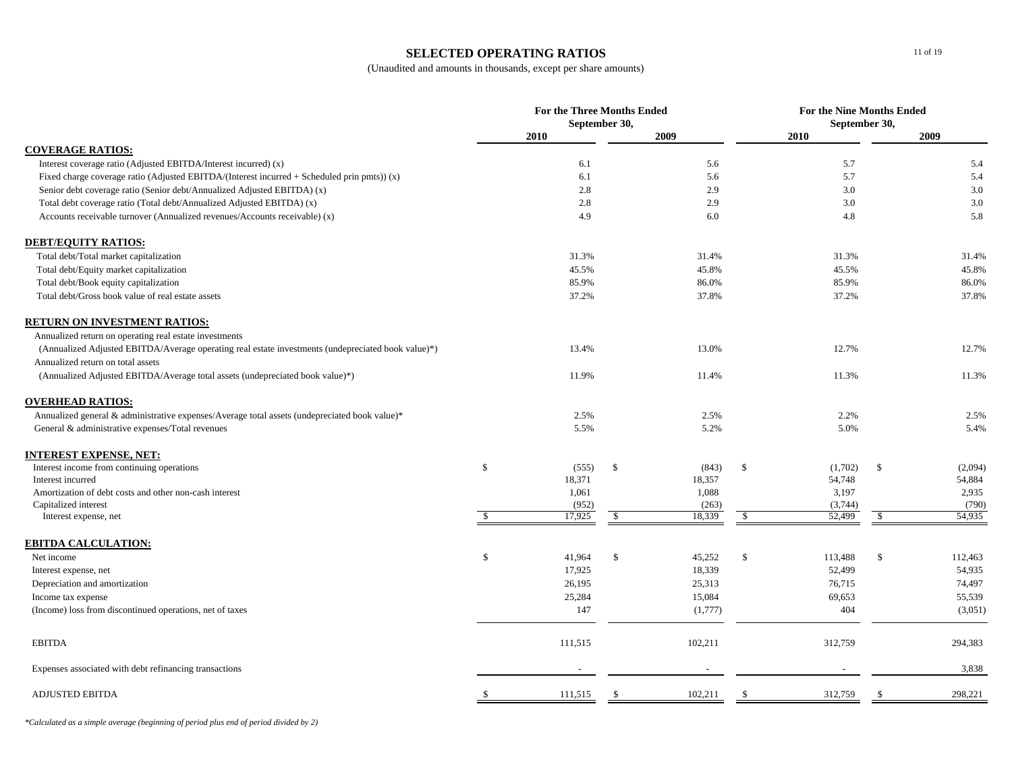#### **SELECTED OPERATING RATIOS**

(Unaudited and amounts in thousands, except per share amounts)

|                                                                                                    | For the Three Months Ended<br>September 30, |         |            |         | For the Nine Months Ended<br>September 30, |         |      |         |
|----------------------------------------------------------------------------------------------------|---------------------------------------------|---------|------------|---------|--------------------------------------------|---------|------|---------|
|                                                                                                    |                                             | 2010    |            | 2009    |                                            | 2010    |      | 2009    |
| <b>COVERAGE RATIOS:</b>                                                                            |                                             |         |            |         |                                            |         |      |         |
| Interest coverage ratio (Adjusted EBITDA/Interest incurred) (x)                                    |                                             | 6.1     |            | 5.6     |                                            | 5.7     |      | 5.4     |
| Fixed charge coverage ratio (Adjusted EBITDA/(Interest incurred + Scheduled prin pmts)) $(x)$      |                                             | 6.1     |            | 5.6     |                                            | 5.7     |      | 5.4     |
| Senior debt coverage ratio (Senior debt/Annualized Adjusted EBITDA) (x)                            |                                             | 2.8     |            | 2.9     |                                            | 3.0     |      | 3.0     |
| Total debt coverage ratio (Total debt/Annualized Adjusted EBITDA) (x)                              |                                             | 2.8     |            | 2.9     |                                            | 3.0     |      | 3.0     |
| Accounts receivable turnover (Annualized revenues/Accounts receivable) (x)                         |                                             | 4.9     |            | 6.0     |                                            | 4.8     |      | 5.8     |
| <b>DEBT/EQUITY RATIOS:</b>                                                                         |                                             |         |            |         |                                            |         |      |         |
| Total debt/Total market capitalization                                                             |                                             | 31.3%   |            | 31.4%   |                                            | 31.3%   |      | 31.4%   |
| Total debt/Equity market capitalization                                                            |                                             | 45.5%   |            | 45.8%   |                                            | 45.5%   |      | 45.8%   |
| Total debt/Book equity capitalization                                                              |                                             | 85.9%   |            | 86.0%   |                                            | 85.9%   |      | 86.0%   |
| Total debt/Gross book value of real estate assets                                                  |                                             | 37.2%   |            | 37.8%   |                                            | 37.2%   |      | 37.8%   |
| <b>RETURN ON INVESTMENT RATIOS:</b>                                                                |                                             |         |            |         |                                            |         |      |         |
| Annualized return on operating real estate investments                                             |                                             |         |            |         |                                            |         |      |         |
| (Annualized Adjusted EBITDA/Average operating real estate investments (undepreciated book value)*) |                                             | 13.4%   |            | 13.0%   |                                            | 12.7%   |      | 12.7%   |
| Annualized return on total assets                                                                  |                                             |         |            |         |                                            |         |      |         |
| (Annualized Adjusted EBITDA/Average total assets (undepreciated book value)*)                      |                                             | 11.9%   |            | 11.4%   |                                            | 11.3%   |      | 11.3%   |
| <b>OVERHEAD RATIOS:</b>                                                                            |                                             |         |            |         |                                            |         |      |         |
| Annualized general & administrative expenses/Average total assets (undepreciated book value)*      |                                             | 2.5%    |            | 2.5%    |                                            | 2.2%    |      | 2.5%    |
| General & administrative expenses/Total revenues                                                   |                                             | 5.5%    |            | 5.2%    |                                            | 5.0%    |      | 5.4%    |
| <u>INTEREST EXPENSE, NET:</u>                                                                      |                                             |         |            |         |                                            |         |      |         |
| Interest income from continuing operations                                                         | \$                                          | (555)   | \$         | (843)   | \$                                         | (1,702) | - \$ | (2,094) |
| Interest incurred                                                                                  |                                             | 18,371  |            | 18,357  |                                            | 54,748  |      | 54,884  |
| Amortization of debt costs and other non-cash interest                                             |                                             | 1,061   |            | 1,088   |                                            | 3,197   |      | 2,935   |
| Capitalized interest                                                                               |                                             | (952)   |            | (263)   |                                            | (3,744) |      | (790)   |
| Interest expense, net                                                                              | $\mathbf{\hat{S}}$                          | 17,925  | $\sqrt{3}$ | 18,339  | $\sqrt{3}$                                 | 52,499  | \$   | 54,935  |
| <b>EBITDA CALCULATION:</b>                                                                         |                                             |         |            |         |                                            |         |      |         |
| Net income                                                                                         | \$                                          | 41,964  | \$         | 45,252  | \$                                         | 113,488 | \$   | 112,463 |
| Interest expense, net                                                                              |                                             | 17,925  |            | 18,339  |                                            | 52,499  |      | 54,935  |
| Depreciation and amortization                                                                      |                                             | 26,195  |            | 25,313  |                                            | 76,715  |      | 74,497  |
| Income tax expense                                                                                 |                                             | 25,284  |            | 15,084  |                                            | 69,653  |      | 55,539  |
| (Income) loss from discontinued operations, net of taxes                                           |                                             | 147     |            | (1,777) |                                            | 404     |      | (3,051) |
| <b>EBITDA</b>                                                                                      |                                             | 111,515 |            | 102,211 |                                            | 312,759 |      | 294,383 |
| Expenses associated with debt refinancing transactions                                             |                                             |         |            |         |                                            |         |      | 3,838   |
| <b>ADJUSTED EBITDA</b>                                                                             | S.                                          | 111,515 | \$         | 102,211 | \$                                         | 312,759 |      | 298,221 |

*\*Calculated as a simple average (beginning of period plus end of period divided by 2)*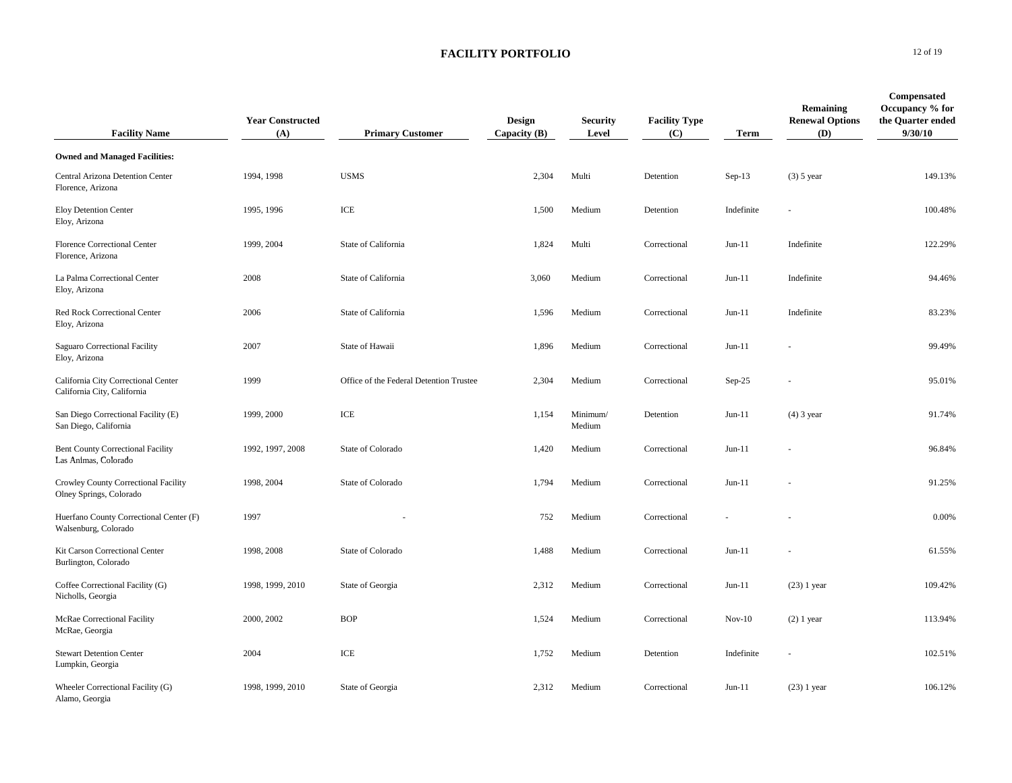| <b>Facility Name</b>                                               | <b>Year Constructed</b><br>(A) | <b>Primary Customer</b>                 | Design<br>Capacity $(B)$ | <b>Security</b><br>Level | <b>Facility Type</b><br>(C) | <b>Term</b> | Remaining<br><b>Renewal Options</b><br><b>(D)</b> | Compensated<br>Occupancy % for<br>the Quarter ended<br>9/30/10 |
|--------------------------------------------------------------------|--------------------------------|-----------------------------------------|--------------------------|--------------------------|-----------------------------|-------------|---------------------------------------------------|----------------------------------------------------------------|
| <b>Owned and Managed Facilities:</b>                               |                                |                                         |                          |                          |                             |             |                                                   |                                                                |
| Central Arizona Detention Center<br>Florence, Arizona              | 1994, 1998                     | <b>USMS</b>                             | 2,304                    | Multi                    | Detention                   | Sep-13      | $(3)$ 5 year                                      | 149.13%                                                        |
| <b>Eloy Detention Center</b><br>Eloy, Arizona                      | 1995, 1996                     | $\ensuremath{\text{ICE}}$               | 1,500                    | Medium                   | Detention                   | Indefinite  |                                                   | 100.48%                                                        |
| Florence Correctional Center<br>Florence, Arizona                  | 1999, 2004                     | State of California                     | 1,824                    | Multi                    | Correctional                | $Jun-11$    | Indefinite                                        | 122.29%                                                        |
| La Palma Correctional Center<br>Eloy, Arizona                      | 2008                           | State of California                     | 3,060                    | Medium                   | Correctional                | $Jun-11$    | Indefinite                                        | 94.46%                                                         |
| Red Rock Correctional Center<br>Eloy, Arizona                      | 2006                           | State of California                     | 1,596                    | Medium                   | Correctional                | $Jun-11$    | Indefinite                                        | 83.23%                                                         |
| Saguaro Correctional Facility<br>Eloy, Arizona                     | 2007                           | State of Hawaii                         | 1,896                    | Medium                   | Correctional                | $Jun-11$    |                                                   | 99.49%                                                         |
| California City Correctional Center<br>California City, California | 1999                           | Office of the Federal Detention Trustee | 2,304                    | Medium                   | Correctional                | $Sep-25$    |                                                   | 95.01%                                                         |
| San Diego Correctional Facility (E)<br>San Diego, California       | 1999, 2000                     | ICE                                     | 1,154                    | Minimum/<br>Medium       | Detention                   | $Jun-11$    | $(4)$ 3 year                                      | 91.74%                                                         |
| <b>Bent County Correctional Facility</b><br>Las Animas, Colorado   | 1992, 1997, 2008               | State of Colorado                       | 1,420                    | Medium                   | Correctional                | $Jun-11$    |                                                   | 96.84%                                                         |
| Crowley County Correctional Facility<br>Olney Springs, Colorado    | 1998, 2004                     | State of Colorado                       | 1,794                    | Medium                   | Correctional                | $Jun-11$    |                                                   | 91.25%                                                         |
| Huerfano County Correctional Center (F)<br>Walsenburg, Colorado    | 1997                           |                                         | 752                      | Medium                   | Correctional                |             |                                                   | 0.00%                                                          |
| Kit Carson Correctional Center<br>Burlington, Colorado             | 1998, 2008                     | State of Colorado                       | 1,488                    | Medium                   | Correctional                | $Jun-11$    |                                                   | 61.55%                                                         |
| Coffee Correctional Facility (G)<br>Nicholls, Georgia              | 1998, 1999, 2010               | State of Georgia                        | 2,312                    | Medium                   | Correctional                | $Jun-11$    | $(23)$ 1 year                                     | 109.42%                                                        |
| <b>McRae Correctional Facility</b><br>McRae, Georgia               | 2000, 2002                     | <b>BOP</b>                              | 1,524                    | Medium                   | Correctional                | $Nov-10$    | $(2)$ 1 year                                      | 113.94%                                                        |
| <b>Stewart Detention Center</b><br>Lumpkin, Georgia                | 2004                           | ICE                                     | 1,752                    | Medium                   | Detention                   | Indefinite  |                                                   | 102.51%                                                        |
| Wheeler Correctional Facility (G)<br>Alamo, Georgia                | 1998, 1999, 2010               | State of Georgia                        | 2,312                    | Medium                   | Correctional                | $Jun-11$    | $(23)$ 1 year                                     | 106.12%                                                        |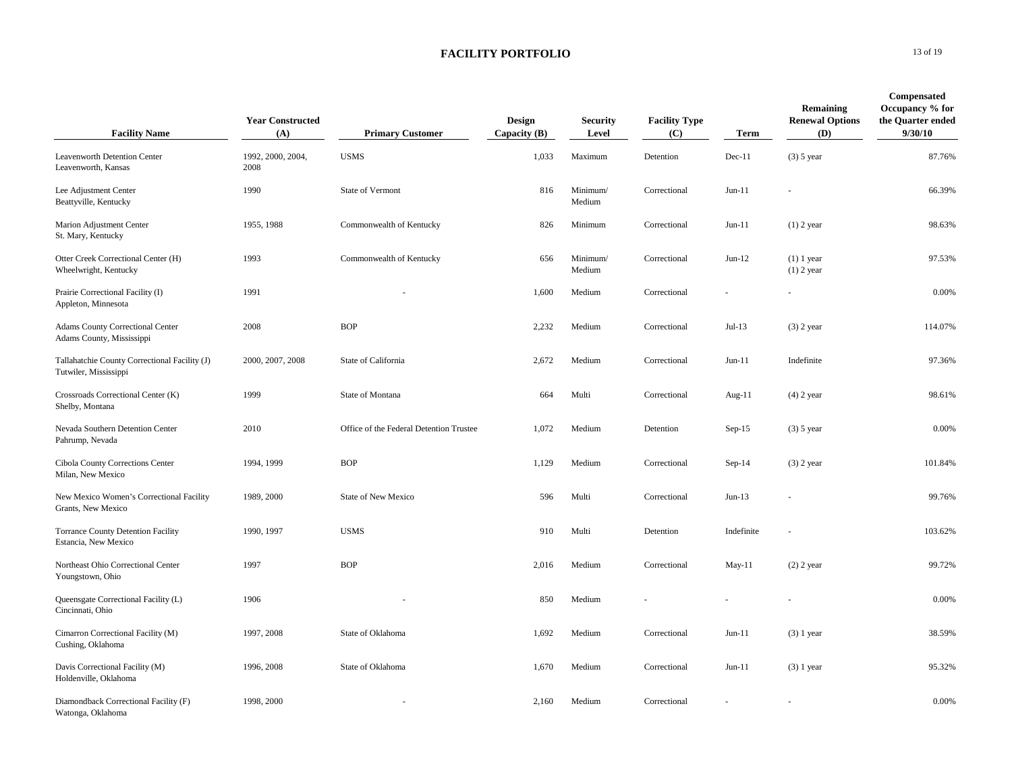| <b>Facility Name</b>                                                   | <b>Year Constructed</b><br>(A) | <b>Primary Customer</b>                 | Design<br>Capacity $(B)$ | <b>Security</b><br>Level | <b>Facility Type</b><br>(C) | Term       | Remaining<br><b>Renewal Options</b><br>(D) | <b>Compensated</b><br>Occupancy % for<br>the Quarter ended<br>9/30/10 |
|------------------------------------------------------------------------|--------------------------------|-----------------------------------------|--------------------------|--------------------------|-----------------------------|------------|--------------------------------------------|-----------------------------------------------------------------------|
| Leavenworth Detention Center<br>Leavenworth, Kansas                    | 1992, 2000, 2004,<br>2008      | <b>USMS</b>                             | 1,033                    | Maximum                  | Detention                   | $Dec-11$   | $(3)$ 5 year                               | 87.76%                                                                |
| Lee Adjustment Center<br>Beattyville, Kentucky                         | 1990                           | State of Vermont                        | 816                      | Minimum/<br>Medium       | Correctional                | $Jun-11$   |                                            | 66.39%                                                                |
| Marion Adjustment Center<br>St. Mary, Kentucky                         | 1955, 1988                     | Commonwealth of Kentucky                | 826                      | Minimum                  | Correctional                | $Jun-11$   | $(1)$ 2 year                               | 98.63%                                                                |
| Otter Creek Correctional Center (H)<br>Wheelwright, Kentucky           | 1993                           | Commonwealth of Kentucky                | 656                      | Minimum/<br>Medium       | Correctional                | $Jun-12$   | $(1)$ 1 year<br>$(1)$ 2 year               | 97.53%                                                                |
| Prairie Correctional Facility (I)<br>Appleton, Minnesota               | 1991                           |                                         | 1,600                    | Medium                   | Correctional                |            |                                            | 0.00%                                                                 |
| <b>Adams County Correctional Center</b><br>Adams County, Mississippi   | 2008                           | <b>BOP</b>                              | 2,232                    | Medium                   | Correctional                | $Jul-13$   | $(3)$ 2 year                               | 114.07%                                                               |
| Tallahatchie County Correctional Facility (J)<br>Tutwiler, Mississippi | 2000, 2007, 2008               | State of California                     | 2,672                    | Medium                   | Correctional                | $Jun-11$   | Indefinite                                 | 97.36%                                                                |
| Crossroads Correctional Center (K)<br>Shelby, Montana                  | 1999                           | State of Montana                        | 664                      | Multi                    | Correctional                | Aug-11     | $(4)$ 2 year                               | 98.61%                                                                |
| Nevada Southern Detention Center<br>Pahrump, Nevada                    | 2010                           | Office of the Federal Detention Trustee | 1,072                    | Medium                   | Detention                   | $Sep-15$   | $(3)$ 5 year                               | 0.00%                                                                 |
| Cibola County Corrections Center<br>Milan, New Mexico                  | 1994, 1999                     | <b>BOP</b>                              | 1,129                    | Medium                   | Correctional                | $Sep-14$   | $(3)$ 2 year                               | 101.84%                                                               |
| New Mexico Women's Correctional Facility<br>Grants, New Mexico         | 1989, 2000                     | <b>State of New Mexico</b>              | 596                      | Multi                    | Correctional                | $Jun-13$   |                                            | 99.76%                                                                |
| <b>Torrance County Detention Facility</b><br>Estancia, New Mexico      | 1990, 1997                     | <b>USMS</b>                             | 910                      | Multi                    | Detention                   | Indefinite |                                            | 103.62%                                                               |
| Northeast Ohio Correctional Center<br>Youngstown, Ohio                 | 1997                           | <b>BOP</b>                              | 2,016                    | Medium                   | Correctional                | $May-11$   | $(2)$ 2 year                               | 99.72%                                                                |
| Queensgate Correctional Facility (L)<br>Cincinnati, Ohio               | 1906                           |                                         | 850                      | Medium                   |                             |            |                                            | 0.00%                                                                 |
| Cimarron Correctional Facility (M)<br>Cushing, Oklahoma                | 1997, 2008                     | State of Oklahoma                       | 1,692                    | Medium                   | Correctional                | $Jun-11$   | $(3)$ 1 year                               | 38.59%                                                                |
| Davis Correctional Facility (M)<br>Holdenville, Oklahoma               | 1996, 2008                     | State of Oklahoma                       | 1,670                    | Medium                   | Correctional                | $Jun-11$   | $(3)$ 1 year                               | 95.32%                                                                |
| Diamondback Correctional Facility (F)<br>Watonga, Oklahoma             | 1998, 2000                     |                                         | 2,160                    | Medium                   | Correctional                |            |                                            | 0.00%                                                                 |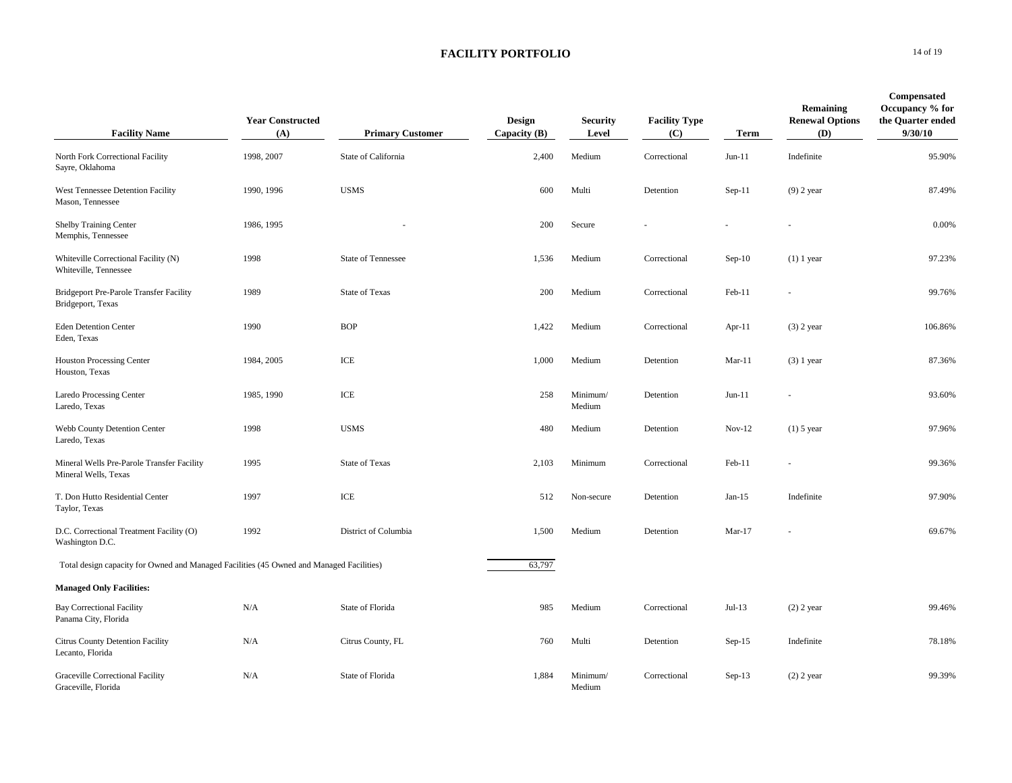| <b>Facility Name</b>                                                                     | <b>Year Constructed</b><br>(A) | <b>Primary Customer</b>   | Design<br>Capacity $(B)$ | <b>Security</b><br>Level | <b>Facility Type</b><br>(C) | <b>Term</b> | Remaining<br><b>Renewal Options</b><br>(D) | Compensated<br>Occupancy % for<br>the Quarter ended<br>9/30/10 |
|------------------------------------------------------------------------------------------|--------------------------------|---------------------------|--------------------------|--------------------------|-----------------------------|-------------|--------------------------------------------|----------------------------------------------------------------|
| North Fork Correctional Facility<br>Sayre, Oklahoma                                      | 1998, 2007                     | State of California       | 2,400                    | Medium                   | Correctional                | $Jun-11$    | Indefinite                                 | 95.90%                                                         |
| West Tennessee Detention Facility<br>Mason, Tennessee                                    | 1990, 1996                     | <b>USMS</b>               | 600                      | Multi                    | Detention                   | $Sep-11$    | $(9)$ 2 year                               | 87.49%                                                         |
| <b>Shelby Training Center</b><br>Memphis, Tennessee                                      | 1986, 1995                     |                           | 200                      | Secure                   |                             |             |                                            | 0.00%                                                          |
| Whiteville Correctional Facility (N)<br>Whiteville, Tennessee                            | 1998                           | <b>State of Tennessee</b> | 1,536                    | Medium                   | Correctional                | $Sep-10$    | $(1)$ 1 year                               | 97.23%                                                         |
| Bridgeport Pre-Parole Transfer Facility<br>Bridgeport, Texas                             | 1989                           | <b>State of Texas</b>     | 200                      | Medium                   | Correctional                | Feb-11      |                                            | 99.76%                                                         |
| <b>Eden Detention Center</b><br>Eden, Texas                                              | 1990                           | <b>BOP</b>                | 1,422                    | Medium                   | Correctional                | Apr- $11$   | $(3)$ 2 year                               | 106.86%                                                        |
| <b>Houston Processing Center</b><br>Houston, Texas                                       | 1984, 2005                     | ICE                       | 1,000                    | Medium                   | Detention                   | $Mar-11$    | $(3)$ 1 year                               | 87.36%                                                         |
| Laredo Processing Center<br>Laredo, Texas                                                | 1985, 1990                     | ICE                       | 258                      | Minimum/<br>Medium       | Detention                   | $Jun-11$    |                                            | 93.60%                                                         |
| Webb County Detention Center<br>Laredo, Texas                                            | 1998                           | <b>USMS</b>               | 480                      | Medium                   | Detention                   | $Nov-12$    | $(1)$ 5 year                               | 97.96%                                                         |
| Mineral Wells Pre-Parole Transfer Facility<br>Mineral Wells, Texas                       | 1995                           | <b>State of Texas</b>     | 2,103                    | Minimum                  | Correctional                | Feb-11      |                                            | 99.36%                                                         |
| T. Don Hutto Residential Center<br>Taylor, Texas                                         | 1997                           | $\ensuremath{\text{ICE}}$ | 512                      | Non-secure               | Detention                   | $Jan-15$    | Indefinite                                 | 97.90%                                                         |
| D.C. Correctional Treatment Facility (O)<br>Washington D.C.                              | 1992                           | District of Columbia      | 1,500                    | Medium                   | Detention                   | $Mar-17$    |                                            | 69.67%                                                         |
| Total design capacity for Owned and Managed Facilities (45 Owned and Managed Facilities) |                                |                           | 63,797                   |                          |                             |             |                                            |                                                                |
| <b>Managed Only Facilities:</b>                                                          |                                |                           |                          |                          |                             |             |                                            |                                                                |
| <b>Bay Correctional Facility</b><br>Panama City, Florida                                 | N/A                            | State of Florida          | 985                      | Medium                   | Correctional                | $Jul-13$    | $(2)$ 2 year                               | 99.46%                                                         |
| Citrus County Detention Facility<br>Lecanto, Florida                                     | N/A                            | Citrus County, FL         | 760                      | Multi                    | Detention                   | $Sep-15$    | Indefinite                                 | 78.18%                                                         |
| <b>Graceville Correctional Facility</b><br>Graceville, Florida                           | N/A                            | State of Florida          | 1,884                    | Minimum/<br>Medium       | Correctional                | $Sep-13$    | $(2)$ 2 year                               | 99.39%                                                         |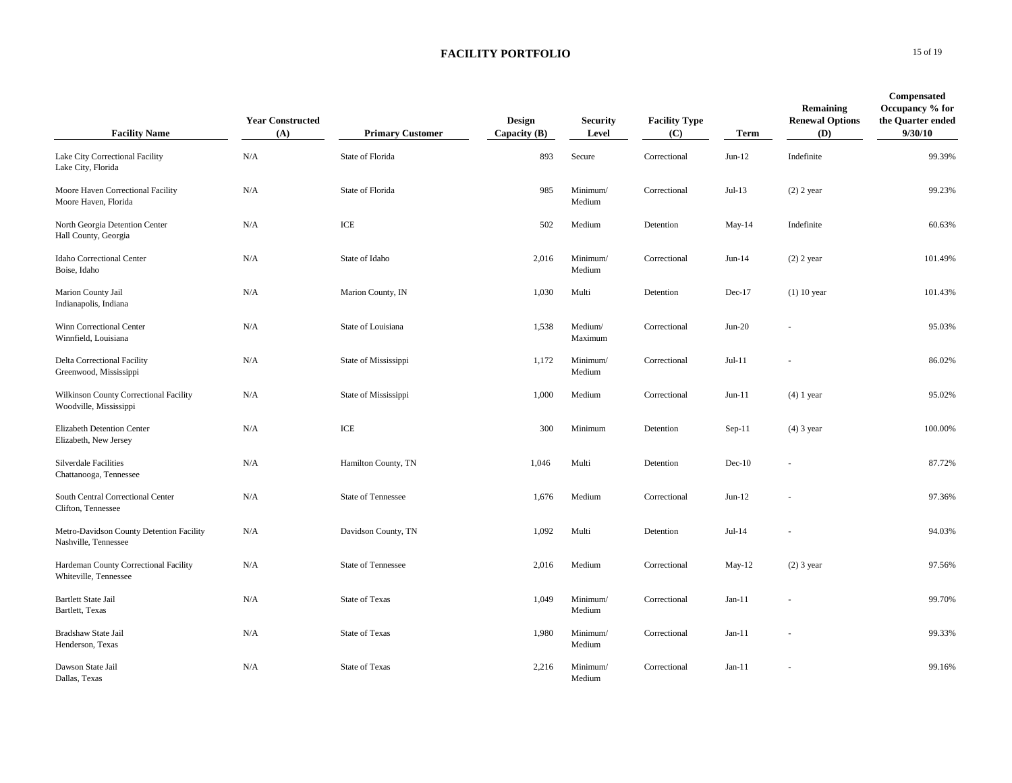| <b>Facility Name</b>                                             | <b>Year Constructed</b><br>(A) | <b>Primary Customer</b>   | Design<br>Capacity $(B)$ | <b>Security</b><br>Level | <b>Facility Type</b><br>(C) | <b>Term</b> | Remaining<br><b>Renewal Options</b><br>(D) | Compensated<br>Occupancy % for<br>the Quarter ended<br>9/30/10 |
|------------------------------------------------------------------|--------------------------------|---------------------------|--------------------------|--------------------------|-----------------------------|-------------|--------------------------------------------|----------------------------------------------------------------|
| Lake City Correctional Facility<br>Lake City, Florida            | N/A                            | State of Florida          | 893                      | Secure                   | Correctional                | $Jun-12$    | Indefinite                                 | 99.39%                                                         |
| Moore Haven Correctional Facility<br>Moore Haven, Florida        | N/A                            | State of Florida          | 985                      | Minimum/<br>Medium       | Correctional                | $Jul-13$    | $(2)$ 2 year                               | 99.23%                                                         |
| North Georgia Detention Center<br>Hall County, Georgia           | N/A                            | ICE                       | 502                      | Medium                   | Detention                   | $May-14$    | Indefinite                                 | 60.63%                                                         |
| Idaho Correctional Center<br>Boise, Idaho                        | N/A                            | State of Idaho            | 2,016                    | Minimum/<br>Medium       | Correctional                | $Jun-14$    | $(2)$ 2 year                               | 101.49%                                                        |
| Marion County Jail<br>Indianapolis, Indiana                      | N/A                            | Marion County, IN         | 1,030                    | Multi                    | Detention                   | $Dec-17$    | $(1)$ 10 year                              | 101.43%                                                        |
| Winn Correctional Center<br>Winnfield, Louisiana                 | N/A                            | State of Louisiana        | 1,538                    | Medium/<br>Maximum       | Correctional                | $Jun-20$    |                                            | 95.03%                                                         |
| Delta Correctional Facility<br>Greenwood, Mississippi            | N/A                            | State of Mississippi      | 1,172                    | Minimum/<br>Medium       | Correctional                | $Jul-11$    |                                            | 86.02%                                                         |
| Wilkinson County Correctional Facility<br>Woodville, Mississippi | N/A                            | State of Mississippi      | 1,000                    | Medium                   | Correctional                | $Jun-11$    | $(4)$ 1 year                               | 95.02%                                                         |
| Elizabeth Detention Center<br>Elizabeth, New Jersey              | N/A                            | ICE                       | 300                      | Minimum                  | Detention                   | $Sep-11$    | $(4)$ 3 year                               | 100.00%                                                        |
| Silverdale Facilities<br>Chattanooga, Tennessee                  | N/A                            | Hamilton County, TN       | 1,046                    | Multi                    | Detention                   | $Dec-10$    |                                            | 87.72%                                                         |
| South Central Correctional Center<br>Clifton, Tennessee          | N/A                            | <b>State of Tennessee</b> | 1,676                    | Medium                   | Correctional                | $Jun-12$    |                                            | 97.36%                                                         |
| Metro-Davidson County Detention Facility<br>Nashville, Tennessee | N/A                            | Davidson County, TN       | 1,092                    | Multi                    | Detention                   | $Jul-14$    |                                            | 94.03%                                                         |
| Hardeman County Correctional Facility<br>Whiteville, Tennessee   | N/A                            | <b>State of Tennessee</b> | 2,016                    | Medium                   | Correctional                | $May-12$    | $(2)$ 3 year                               | 97.56%                                                         |
| <b>Bartlett State Jail</b><br>Bartlett, Texas                    | N/A                            | <b>State of Texas</b>     | 1,049                    | Minimum/<br>Medium       | Correctional                | $Jan-11$    |                                            | 99.70%                                                         |
| Bradshaw State Jail<br>Henderson, Texas                          | N/A                            | <b>State of Texas</b>     | 1,980                    | Minimum/<br>Medium       | Correctional                | $Jan-11$    |                                            | 99.33%                                                         |
| Dawson State Jail<br>Dallas, Texas                               | N/A                            | <b>State of Texas</b>     | 2,216                    | Minimum/<br>Medium       | Correctional                | $Jan-11$    |                                            | 99.16%                                                         |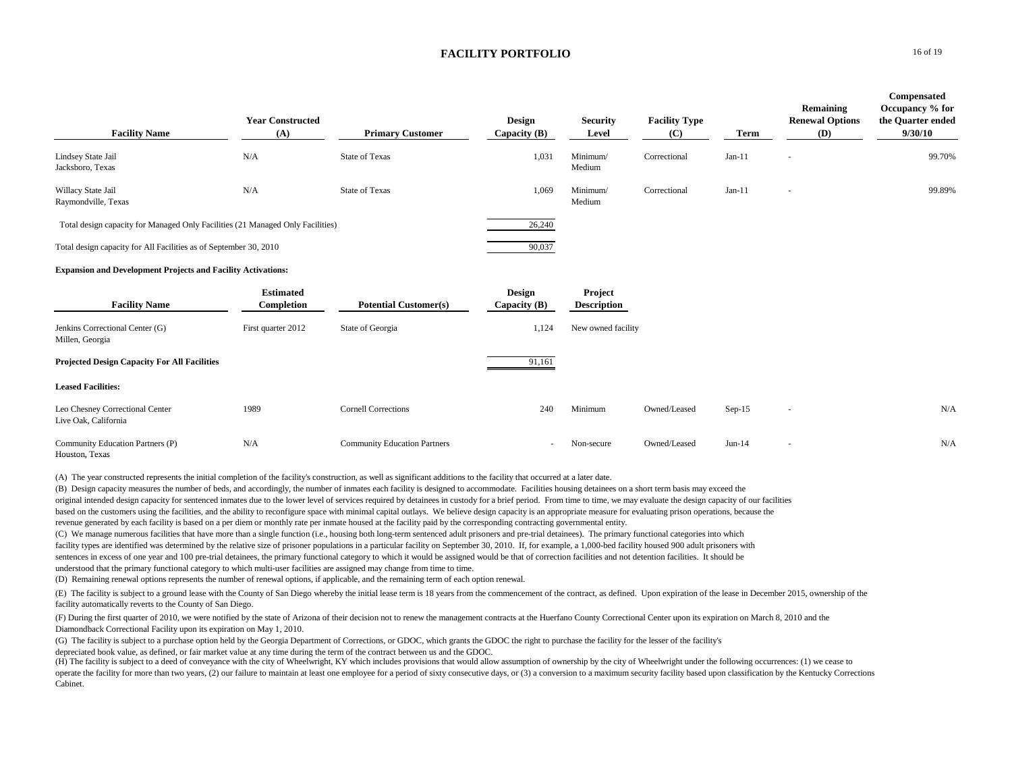| <b>Facility Name</b>                                                           | <b>Year Constructed</b><br>(A) | <b>Primary Customer</b>             | Design<br>Capacity $(B)$        | <b>Security</b><br>Level      | <b>Facility Type</b><br>(C) | Term     | Remaining<br><b>Renewal Options</b><br>(D) | Compensated<br>Occupancy % for<br>the Quarter ended<br>9/30/10 |
|--------------------------------------------------------------------------------|--------------------------------|-------------------------------------|---------------------------------|-------------------------------|-----------------------------|----------|--------------------------------------------|----------------------------------------------------------------|
| Lindsey State Jail<br>Jacksboro, Texas                                         | N/A                            | <b>State of Texas</b>               | 1,031                           | Minimum/<br>Medium            | Correctional                | $Jan-11$ |                                            | 99.70%                                                         |
| Willacy State Jail<br>Raymondville, Texas                                      | N/A                            | <b>State of Texas</b>               | 1,069                           | Minimum/<br>Medium            | Correctional                | $Jan-11$ | $\overline{\phantom{a}}$                   | 99.89%                                                         |
| Total design capacity for Managed Only Facilities (21 Managed Only Facilities) |                                |                                     | 26,240                          |                               |                             |          |                                            |                                                                |
| Total design capacity for All Facilities as of September 30, 2010              |                                |                                     | 90,037                          |                               |                             |          |                                            |                                                                |
| <b>Expansion and Development Projects and Facility Activations:</b>            |                                |                                     |                                 |                               |                             |          |                                            |                                                                |
| <b>Facility Name</b>                                                           | <b>Estimated</b><br>Completion | <b>Potential Customer(s)</b>        | <b>Design</b><br>Capacity $(B)$ | Project<br><b>Description</b> |                             |          |                                            |                                                                |
| Jenkins Correctional Center (G)<br>Millen, Georgia                             | First quarter 2012             | State of Georgia                    | 1,124                           | New owned facility            |                             |          |                                            |                                                                |
| <b>Projected Design Capacity For All Facilities</b>                            |                                |                                     | 91,161                          |                               |                             |          |                                            |                                                                |
| <b>Leased Facilities:</b>                                                      |                                |                                     |                                 |                               |                             |          |                                            |                                                                |
| Leo Chesney Correctional Center<br>Live Oak, California                        | 1989                           | <b>Cornell Corrections</b>          | 240                             | Minimum                       | Owned/Leased                | $Sep-15$ | $\sim$                                     | N/A                                                            |
| Community Education Partners (P)<br>Houston, Texas                             | N/A                            | <b>Community Education Partners</b> | ٠                               | Non-secure                    | Owned/Leased                | $Jun-14$ | $\overline{\phantom{a}}$                   | N/A                                                            |

(A) The year constructed represents the initial completion of the facility's construction, as well as significant additions to the facility that occurred at a later date.

(B) Design capacity measures the number of beds, and accordingly, the number of inmates each facility is designed to accommodate. Facilities housing detainees on a short term basis may exceed the original intended design capacity for sentenced inmates due to the lower level of services required by detainees in custody for a brief period. From time to time, we may evaluate the design capacity of our facilities based on the customers using the facilities, and the ability to reconfigure space with minimal capital outlays. We believe design capacity is an appropriate measure for evaluating prison operations, because the revenue generated by each facility is based on a per diem or monthly rate per inmate housed at the facility paid by the corresponding contracting governmental entity.

(C) We manage numerous facilities that have more than a single function (i.e., housing both long-term sentenced adult prisoners and pre-trial detainees). The primary functional categories into which facility types are identified was determined by the relative size of prisoner populations in a particular facility on September 30, 2010. If, for example, a 1,000-bed facility housed 900 adult prisoners with sentences in excess of one year and 100 pre-trial detainees, the primary functional category to which it would be assigned would be that of correction facilities and not detention facilities. It should be understood that the primary functional category to which multi-user facilities are assigned may change from time to time.

(D) Remaining renewal options represents the number of renewal options, if applicable, and the remaining term of each option renewal.

(E) The facility is subject to a ground lease with the County of San Diego whereby the initial lease term is 18 years from the commencement of the contract, as defined. Upon expiration of the lease in December 2015, owners facility automatically reverts to the County of San Diego.

(F) During the first quarter of 2010, we were notified by the state of Arizona of their decision not to renew the management contracts at the Huerfano County Correctional Center upon its expiration on March 8, 2010 and the Diamondback Correctional Facility upon its expiration on May 1, 2010.

(G) The facility is subject to a purchase option held by the Georgia Department of Corrections, or GDOC, which grants the GDOC the right to purchase the facility for the lesser of the facility's depreciated book value, as defined, or fair market value at any time during the term of the contract between us and the GDOC.

(H) The facility is subject to a deed of conveyance with the city of Wheelwright, KY which includes provisions that would allow assumption of ownership by the city of Wheelwright under the following occurrences: (1) we cea operate the facility for more than two years, (2) our failure to maintain at least one employee for a period of sixty consecutive days, or (3) a conversion to a maximum security facility based upon classification by the Ke Cabinet.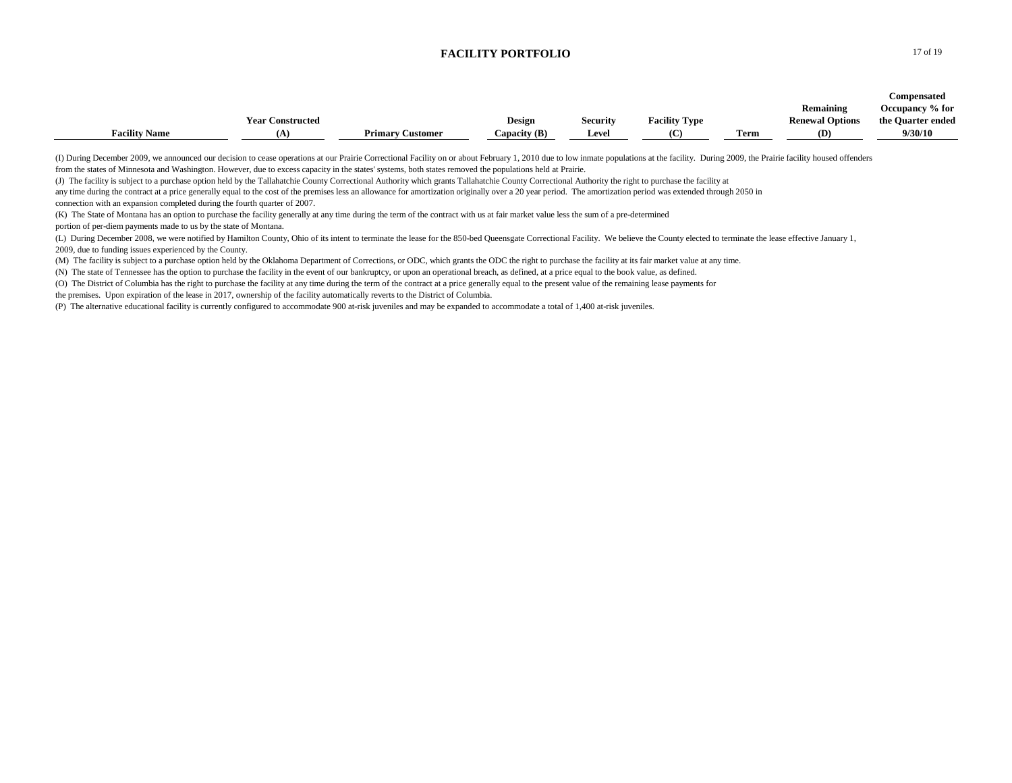|                      |                         |                         |                |                 |                      |      |                        | Compensated       |
|----------------------|-------------------------|-------------------------|----------------|-----------------|----------------------|------|------------------------|-------------------|
|                      |                         |                         |                |                 |                      |      | Remaining              | Occupancy % for   |
|                      | <b>Year Constructed</b> |                         | Design         | <b>Security</b> | <b>Facility Type</b> |      | <b>Renewal Options</b> | the Quarter ended |
| <b>Facility Name</b> | 'А.                     | <b>Primary Customer</b> | Capacity $(B)$ | <b>Level</b>    |                      | Term | (D)                    | 9/30/10           |

(I) During December 2009, we announced our decision to cease operations at our Prairie Correctional Facility on or about February 1, 2010 due to low inmate populations at the facility. During 2009, the Prairie facility hou from the states of Minnesota and Washington. However, due to excess capacity in the states' systems, both states removed the populations held at Prairie.

(J) The facility is subject to a purchase option held by the Tallahatchie County Correctional Authority which grants Tallahatchie County Correctional Authority the right to purchase the facility at

any time during the contract at a price generally equal to the cost of the premises less an allowance for amortization originally over a 20 year period. The amortization period was extended through 2050 in connection with an expansion completed during the fourth quarter of 2007.

(K) The State of Montana has an option to purchase the facility generally at any time during the term of the contract with us at fair market value less the sum of a pre-determined

portion of per-diem payments made to us by the state of Montana.

(L) During December 2008, we were notified by Hamilton County, Ohio of its intent to terminate the lease for the 850-bed Queensgate Correctional Facility. We believe the County elected to terminate the lease effective Janu 2009, due to funding issues experienced by the County.

(M) The facility is subject to a purchase option held by the Oklahoma Department of Corrections, or ODC, which grants the ODC the right to purchase the facility at its fair market value at any time.

(N) The state of Tennessee has the option to purchase the facility in the event of our bankruptcy, or upon an operational breach, as defined, at a price equal to the book value, as defined.

(O) The District of Columbia has the right to purchase the facility at any time during the term of the contract at a price generally equal to the present value of the remaining lease payments for

the premises. Upon expiration of the lease in 2017, ownership of the facility automatically reverts to the District of Columbia.

(P) The alternative educational facility is currently configured to accommodate 900 at-risk juveniles and may be expanded to accommodate a total of 1,400 at-risk juveniles.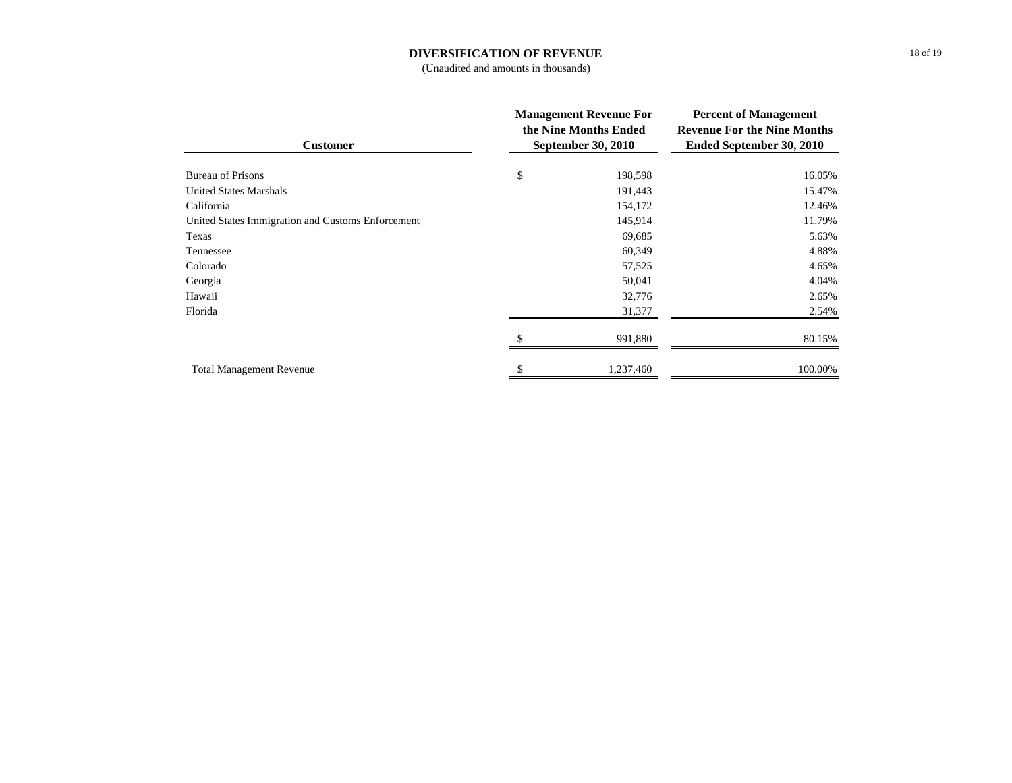### **DIVERSIFICATION OF REVENUE**

(Unaudited and amounts in thousands)

| <b>Customer</b>                                   | <b>Management Revenue For</b><br>the Nine Months Ended<br><b>September 30, 2010</b> | <b>Percent of Management</b><br><b>Revenue For the Nine Months</b><br><b>Ended September 30, 2010</b> |  |  |
|---------------------------------------------------|-------------------------------------------------------------------------------------|-------------------------------------------------------------------------------------------------------|--|--|
|                                                   |                                                                                     |                                                                                                       |  |  |
| <b>Bureau of Prisons</b>                          | \$<br>198,598                                                                       | 16.05%                                                                                                |  |  |
| <b>United States Marshals</b>                     | 191,443                                                                             | 15.47%                                                                                                |  |  |
| California                                        | 154,172                                                                             | 12.46%                                                                                                |  |  |
| United States Immigration and Customs Enforcement | 145,914                                                                             | 11.79%                                                                                                |  |  |
| Texas                                             | 69,685                                                                              | 5.63%                                                                                                 |  |  |
| Tennessee                                         | 60,349                                                                              | 4.88%                                                                                                 |  |  |
| Colorado                                          | 57,525                                                                              | 4.65%                                                                                                 |  |  |
| Georgia                                           | 50,041                                                                              | 4.04%                                                                                                 |  |  |
| Hawaii                                            | 32,776                                                                              | 2.65%                                                                                                 |  |  |
| Florida                                           | 31,377                                                                              | 2.54%                                                                                                 |  |  |
|                                                   | 991,880                                                                             | 80.15%                                                                                                |  |  |
| <b>Total Management Revenue</b>                   | 1,237,460                                                                           | 100.00%                                                                                               |  |  |